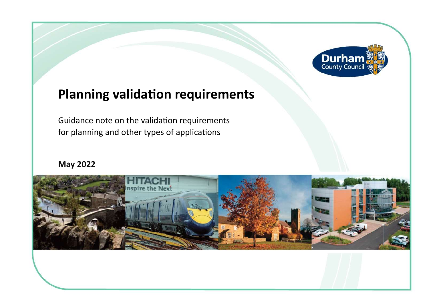

## **Planning validation requirements**

Guidance note on the validation requirements for planning and other types of applications

## **May 2022**

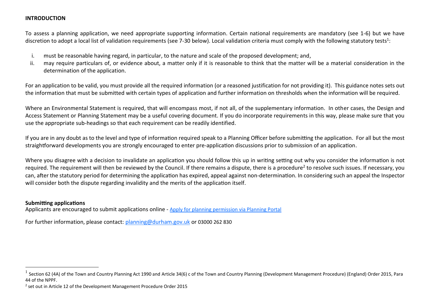## **INTRODUCTION**

 To assess a planning application, we need appropriate supporting information. Certain national requirements are mandatory (see 1-6) but we have discretion to adopt a local list of validation requirements (see 7-30 below). Local validation criteria must comply with the following statutory tests<sup>1</sup>:

- i. must be reasonable having regard, in particular, to the nature and scale of the proposed development: and.
- ii. may require particulars of, or evidence about, a matter only if it is reasonable to think that the matter will be a material consideration in the determination of the application.

 For an application to be valid, you must provide all the required information (or a reasoned justification for not providing it). This guidance notes sets out the information that must be submitted with certain types of application and further information on thresholds when the information will be required.

 Where an Environmental Statement is required, that will encompass most, if not all, of the supplementary information. In other cases, the Design and Access Statement or Planning Statement may be a useful covering document. If you do incorporate requirements in this way, please make sure that you use the appropriate sub-headings so that each requirement can be readily identified.

 If you are in any doubt as to the level and type of information required speak to a Planning Officer before submitting the application. For all but the most straightforward developments you are strongly encouraged to enter pre-application discussions prior to submission of an application.

 Where you disagree with a decision to invalidate an application you should follow this up in writing setting out why you consider the information is not required. The requirement will then be reviewed by the Council. If there remains a dispute, there is a procedure<sup>2</sup> to resolve such issues. If necessary, you can, after the statutory period for determining the application has expired, appeal against non-determination. In considering such an appeal the Inspector will consider both the dispute regarding invalidity and the merits of the application itself.

## **Submitting applications**

Applicants are encouraged to submit applications online - [Apply for planning permission via Planning Portal](https://www.planningportal.co.uk/applications)

For further information, please contact: [planning@durham.gov.uk](mailto:planning@durham.gov.uk) or 03000 262 830

 $^1$  Section 62 (4A) of the Town and Country Planning Act 1990 and Article 34(6) c of the Town and Country Planning (Development Management Procedure) (England) Order 2015, Para 44 of the NPPF.

 $2$  set out in Article 12 of the Development Management Procedure Order 2015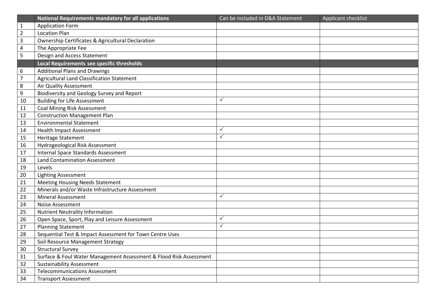|                | <b>National Requirements mandatory for all applications</b>        | Can be included in D&A Statement | Applicant checklist |
|----------------|--------------------------------------------------------------------|----------------------------------|---------------------|
| $\mathbf{1}$   | <b>Application Form</b>                                            |                                  |                     |
| $\overline{2}$ | <b>Location Plan</b>                                               |                                  |                     |
| 3              | <b>Ownership Certificates &amp; Agricultural Declaration</b>       |                                  |                     |
| 4              | The Appropriate Fee                                                |                                  |                     |
| 5              | Design and Access Statement                                        |                                  |                     |
|                | Local Requirements see specific thresholds                         |                                  |                     |
| 6              | <b>Additional Plans and Drawings</b>                               |                                  |                     |
| $\overline{7}$ | <b>Agricultural Land Classification Statement</b>                  |                                  |                     |
| 8              | Air Quality Assessment                                             |                                  |                     |
| 9              | Biodiversity and Geology Survey and Report                         |                                  |                     |
| 10             | <b>Building for Life Assessment</b>                                | $\checkmark$                     |                     |
| 11             | <b>Coal Mining Risk Assessment</b>                                 |                                  |                     |
| 12             | <b>Construction Management Plan</b>                                |                                  |                     |
| 13             | <b>Environmental Statement</b>                                     |                                  |                     |
| 14             | <b>Health Impact Assessment</b>                                    | $\checkmark$                     |                     |
| 15             | Heritage Statement                                                 | $\checkmark$                     |                     |
| 16             | Hydrogeological Risk Assessment                                    |                                  |                     |
| 17             | <b>Internal Space Standards Assessment</b>                         |                                  |                     |
| 18             | <b>Land Contamination Assessment</b>                               |                                  |                     |
| 19             | Levels                                                             |                                  |                     |
| 20             | <b>Lighting Assessment</b>                                         |                                  |                     |
| 21             | Meeting Housing Needs Statement                                    |                                  |                     |
| 22             | Minerals and/or Waste Infrastructure Assessment                    |                                  |                     |
| 23             | <b>Mineral Assessment</b>                                          | $\checkmark$                     |                     |
| 24             | Noise Assessment                                                   |                                  |                     |
| 25             | <b>Nutrient Neutrality Information</b>                             |                                  |                     |
| 26             | Open Space, Sport, Play and Leisure Assessment                     | $\checkmark$                     |                     |
| 27             | <b>Planning Statement</b>                                          | $\checkmark$                     |                     |
| 28             | Sequential Test & Impact Assessment for Town Centre Uses           |                                  |                     |
| 29             | Soil Resource Management Strategy                                  |                                  |                     |
| 30             | <b>Structural Survey</b>                                           |                                  |                     |
| 31             | Surface & Foul Water Management Assessment & Flood Risk Assessment |                                  |                     |
| 32             | <b>Sustainability Assessment</b>                                   |                                  |                     |
| 33             | <b>Telecommunications Assessment</b>                               |                                  |                     |
| 34             | <b>Transport Assessment</b>                                        |                                  |                     |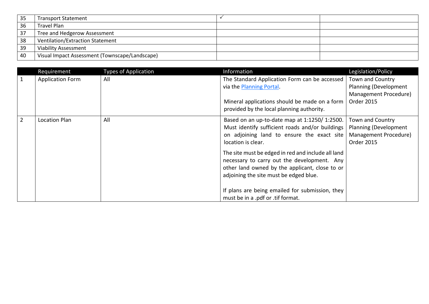| 35 | <b>Transport Statement</b>                     |  |
|----|------------------------------------------------|--|
| 36 | <b>Travel Plan</b>                             |  |
| 37 | Tree and Hedgerow Assessment                   |  |
| 38 | <b>Ventilation/Extraction Statement</b>        |  |
| 39 | <b>Viability Assessment</b>                    |  |
| 40 | Visual Impact Assessment (Townscape/Landscape) |  |

<span id="page-3-1"></span><span id="page-3-0"></span>

|                | Requirement             | <b>Types of Application</b> | Information                                                                                                                                                                                   | Legislation/Policy                                                                             |
|----------------|-------------------------|-----------------------------|-----------------------------------------------------------------------------------------------------------------------------------------------------------------------------------------------|------------------------------------------------------------------------------------------------|
|                | <b>Application Form</b> | All                         | The Standard Application Form can be accessed<br>via the Planning Portal.<br>Mineral applications should be made on a form<br>provided by the local planning authority.                       | Town and Country<br>Planning (Development<br>Management Procedure)<br><b>Order 2015</b>        |
| $\overline{2}$ | Location Plan           | All                         | Based on an up-to-date map at 1:1250/1:2500.<br>Must identify sufficient roads and/or buildings<br>on adjoining land to ensure the exact site<br>location is clear.                           | Town and Country<br><b>Planning (Development</b><br>Management Procedure)<br><b>Order 2015</b> |
|                |                         |                             | The site must be edged in red and include all land<br>necessary to carry out the development. Any<br>other land owned by the applicant, close to or<br>adjoining the site must be edged blue. |                                                                                                |
|                |                         |                             | If plans are being emailed for submission, they<br>must be in a .pdf or .tif format.                                                                                                          |                                                                                                |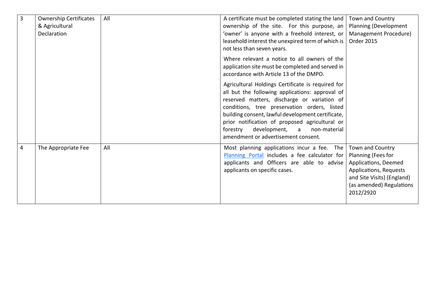<span id="page-4-1"></span><span id="page-4-0"></span>

| $\overline{3}$ | <b>Ownership Certificates</b>        | All | A certificate must be completed stating the land                                                                                                                                                                                                                                                                                                                                                | Town and Country                                                                                                                                                |
|----------------|--------------------------------------|-----|-------------------------------------------------------------------------------------------------------------------------------------------------------------------------------------------------------------------------------------------------------------------------------------------------------------------------------------------------------------------------------------------------|-----------------------------------------------------------------------------------------------------------------------------------------------------------------|
|                | & Agricultural<br><b>Declaration</b> |     | ownership of the site. For this purpose, an<br>'owner' is anyone with a freehold interest, or<br>leasehold interest the unexpired term of which is                                                                                                                                                                                                                                              | Planning (Development<br>Management Procedure)<br><b>Order 2015</b>                                                                                             |
|                |                                      |     | not less than seven years.<br>Where relevant a notice to all owners of the<br>application site must be completed and served in<br>accordance with Article 13 of the DMPO.                                                                                                                                                                                                                       |                                                                                                                                                                 |
|                |                                      |     | Agricultural Holdings Certificate is required for<br>all but the following applications: approval of<br>reserved matters, discharge or variation of<br>conditions, tree preservation orders, listed<br>building consent, lawful development certificate,<br>prior notification of proposed agricultural or<br>development, a<br>forestry<br>non-material<br>amendment or advertisement consent. |                                                                                                                                                                 |
| 4              | The Appropriate Fee                  | All | Most planning applications incur a fee. The<br>Planning Portal includes a fee calculator for<br>applicants and Officers are able to advise<br>applicants on specific cases.                                                                                                                                                                                                                     | Town and Country<br>Planning (Fees for<br>Applications, Deemed<br>Applications, Requests<br>and Site Visits) (England)<br>(as amended) Regulations<br>2012/2920 |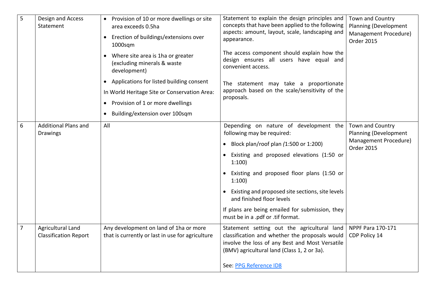<span id="page-5-2"></span><span id="page-5-1"></span><span id="page-5-0"></span>

| 5 | Design and Access<br>Statement                    | • Provision of 10 or more dwellings or site<br>area exceeds 0.5ha<br>Erection of buildings/extensions over<br>$1000$ sqm<br>Where site area is 1ha or greater<br>(excluding minerals & waste<br>development)<br>• Applications for listed building consent<br>In World Heritage Site or Conservation Area:<br>Provision of 1 or more dwellings<br>$\bullet$<br>Building/extension over 100sqm<br>$\bullet$ | Statement to explain the design principles and<br>concepts that have been applied to the following<br>aspects: amount, layout, scale, landscaping and<br>appearance.<br>The access component should explain how the<br>design ensures all users have equal and<br>convenient access.<br>The statement may take a proportionate<br>approach based on the scale/sensitivity of the<br>proposals.              | Town and Country<br>Planning (Development<br>Management Procedure)<br><b>Order 2015</b> |
|---|---------------------------------------------------|------------------------------------------------------------------------------------------------------------------------------------------------------------------------------------------------------------------------------------------------------------------------------------------------------------------------------------------------------------------------------------------------------------|-------------------------------------------------------------------------------------------------------------------------------------------------------------------------------------------------------------------------------------------------------------------------------------------------------------------------------------------------------------------------------------------------------------|-----------------------------------------------------------------------------------------|
| 6 | <b>Additional Plans and</b><br><b>Drawings</b>    | All                                                                                                                                                                                                                                                                                                                                                                                                        | Depending on nature of development the<br>following may be required:<br>• Block plan/roof plan $(1:500$ or $1:200)$<br>• Existing and proposed elevations (1:50 or<br>1:100<br>Existing and proposed floor plans (1:50 or<br>1:100<br>Existing and proposed site sections, site levels<br>and finished floor levels<br>If plans are being emailed for submission, they<br>must be in a .pdf or .tif format. | Town and Country<br>Planning (Development<br>Management Procedure)<br><b>Order 2015</b> |
| 7 | Agricultural Land<br><b>Classification Report</b> | Any development on land of 1ha or more<br>that is currently or last in use for agriculture                                                                                                                                                                                                                                                                                                                 | Statement setting out the agricultural land<br>classification and whether the proposals would<br>involve the loss of any Best and Most Versatile<br>(BMV) agricultural land (Class 1, 2 or 3a).<br>See: PPG Reference ID8                                                                                                                                                                                   | NPPF Para 170-171<br>CDP Policy 14                                                      |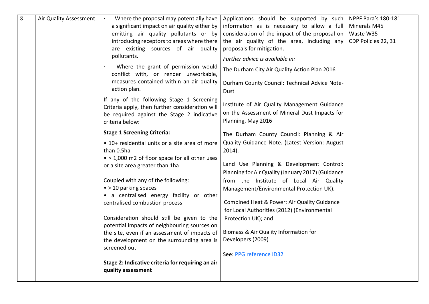<span id="page-6-0"></span>

| 8 | Air Quality Assessment | Where the proposal may potentially have<br>a significant impact on air quality either by<br>emitting air quality pollutants or by<br>introducing receptors to areas where there<br>are existing sources of air quality<br>pollutants.<br>Where the grant of permission would<br>conflict with, or render unworkable,<br>measures contained within an air quality<br>action plan.<br>If any of the following Stage 1 Screening<br>Criteria apply, then further consideration will<br>be required against the Stage 2 indicative<br>criteria below:<br><b>Stage 1 Screening Criteria:</b><br>• 10+ residential units or a site area of more<br>than 0.5ha<br>• > 1,000 m2 of floor space for all other uses<br>or a site area greater than 1ha<br>Coupled with any of the following:<br>$\bullet$ > 10 parking spaces<br>• a centralised energy facility or other<br>centralised combustion process<br>Consideration should still be given to the<br>potential impacts of neighbouring sources on<br>the site, even if an assessment of impacts of<br>the development on the surrounding area is<br>screened out<br>Stage 2: Indicative criteria for requiring an air<br>quality assessment | Applications should be supported by such<br>information as is necessary to allow a full<br>consideration of the impact of the proposal on<br>the air quality of the area, including any<br>proposals for mitigation.<br>Further advice is available in:<br>The Durham City Air Quality Action Plan 2016<br>Durham County Council: Technical Advice Note-<br>Dust<br>Institute of Air Quality Management Guidance<br>on the Assessment of Mineral Dust Impacts for<br>Planning, May 2016<br>The Durham County Council: Planning & Air<br>Quality Guidance Note. (Latest Version: August<br>$2014$ ).<br>Land Use Planning & Development Control:<br>Planning for Air Quality (January 2017) (Guidance<br>from the Institute of Local Air Quality<br>Management/Environmental Protection UK).<br>Combined Heat & Power: Air Quality Guidance<br>for Local Authorities (2012) (Environmental<br>Protection UK); and<br>Biomass & Air Quality Information for<br>Developers (2009)<br>See: PPG reference ID32 | NPPF Para's 180-181<br>Minerals M45<br>Waste W35<br>CDP Policies 22, 31 |
|---|------------------------|-------------------------------------------------------------------------------------------------------------------------------------------------------------------------------------------------------------------------------------------------------------------------------------------------------------------------------------------------------------------------------------------------------------------------------------------------------------------------------------------------------------------------------------------------------------------------------------------------------------------------------------------------------------------------------------------------------------------------------------------------------------------------------------------------------------------------------------------------------------------------------------------------------------------------------------------------------------------------------------------------------------------------------------------------------------------------------------------------------------------------------------------------------------------------------------------|-----------------------------------------------------------------------------------------------------------------------------------------------------------------------------------------------------------------------------------------------------------------------------------------------------------------------------------------------------------------------------------------------------------------------------------------------------------------------------------------------------------------------------------------------------------------------------------------------------------------------------------------------------------------------------------------------------------------------------------------------------------------------------------------------------------------------------------------------------------------------------------------------------------------------------------------------------------------------------------------------------------|-------------------------------------------------------------------------|
|---|------------------------|-------------------------------------------------------------------------------------------------------------------------------------------------------------------------------------------------------------------------------------------------------------------------------------------------------------------------------------------------------------------------------------------------------------------------------------------------------------------------------------------------------------------------------------------------------------------------------------------------------------------------------------------------------------------------------------------------------------------------------------------------------------------------------------------------------------------------------------------------------------------------------------------------------------------------------------------------------------------------------------------------------------------------------------------------------------------------------------------------------------------------------------------------------------------------------------------|-----------------------------------------------------------------------------------------------------------------------------------------------------------------------------------------------------------------------------------------------------------------------------------------------------------------------------------------------------------------------------------------------------------------------------------------------------------------------------------------------------------------------------------------------------------------------------------------------------------------------------------------------------------------------------------------------------------------------------------------------------------------------------------------------------------------------------------------------------------------------------------------------------------------------------------------------------------------------------------------------------------|-------------------------------------------------------------------------|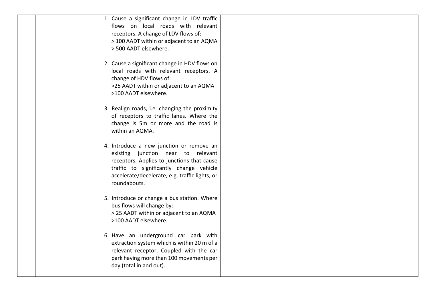|  | 1. Cause a significant change in LDV traffic<br>flows on local roads with relevant<br>receptors. A change of LDV flows of:<br>> 100 AADT within or adjacent to an AQMA<br>> 500 AADT elsewhere.                                           |  |
|--|-------------------------------------------------------------------------------------------------------------------------------------------------------------------------------------------------------------------------------------------|--|
|  | 2. Cause a significant change in HDV flows on<br>local roads with relevant receptors. A<br>change of HDV flows of:<br>>25 AADT within or adjacent to an AQMA<br>>100 AADT elsewhere.                                                      |  |
|  | 3. Realign roads, i.e. changing the proximity<br>of receptors to traffic lanes. Where the<br>change is 5m or more and the road is<br>within an AQMA.                                                                                      |  |
|  | 4. Introduce a new junction or remove an<br>existing junction near to relevant<br>receptors. Applies to junctions that cause<br>traffic to significantly change vehicle<br>accelerate/decelerate, e.g. traffic lights, or<br>roundabouts. |  |
|  | 5. Introduce or change a bus station. Where<br>bus flows will change by:<br>> 25 AADT within or adjacent to an AQMA<br>>100 AADT elsewhere.                                                                                               |  |
|  | 6. Have an underground car park with<br>extraction system which is within 20 m of a<br>relevant receptor. Coupled with the car<br>park having more than 100 movements per<br>day (total in and out).                                      |  |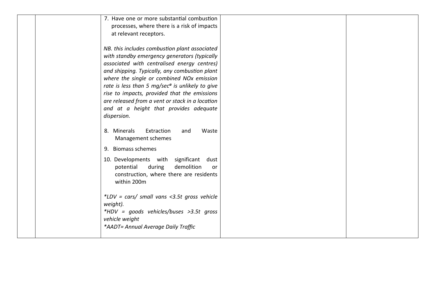| 7. Have one or more substantial combustion<br>processes, where there is a risk of impacts<br>at relevant receptors.                                                                                                                                                                                                                                                                                                                                                   |  |
|-----------------------------------------------------------------------------------------------------------------------------------------------------------------------------------------------------------------------------------------------------------------------------------------------------------------------------------------------------------------------------------------------------------------------------------------------------------------------|--|
| NB. this includes combustion plant associated<br>with standby emergency generators (typically<br>associated with centralised energy centres)<br>and shipping. Typically, any combustion plant<br>where the single or combined NOx emission<br>rate is less than 5 mg/sec <sup>a</sup> is unlikely to give<br>rise to impacts, provided that the emissions<br>are released from a vent or stack in a location<br>and at a height that provides adequate<br>dispersion. |  |
| 8. Minerals<br>Extraction<br>Waste<br>and<br>Management schemes<br>9. Biomass schemes                                                                                                                                                                                                                                                                                                                                                                                 |  |
| 10. Developments with significant dust<br>demolition<br>potential<br>during<br>or<br>construction, where there are residents<br>within 200m                                                                                                                                                                                                                                                                                                                           |  |
| *LDV = $cars/ small$ vans <3.5t gross vehicle<br>weight).<br>*HDV = goods vehicles/buses >3.5t gross<br>vehicle weight<br>*AADT= Annual Average Daily Traffic                                                                                                                                                                                                                                                                                                         |  |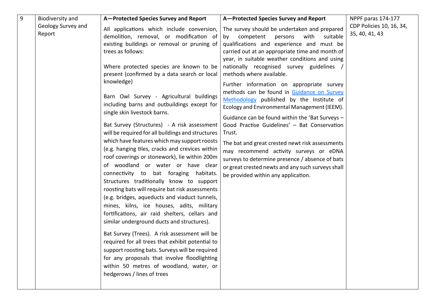<span id="page-9-0"></span>

| 9 | Biodiversity and             | A-Protected Species Survey and Report                                                                                                                                                                                                                                                                                                                                                                                                                                                                                                                                                                                                                                                                                                                                                                                                                                                                                                                                                                                                                                                                                                                                                                                                                                                                               | A-Protected Species Survey and Report                                                                                                                                                                                                                                                                                                                                                                                                                                                                                                                                                                                                                                                                                                                                                                                                                                    | NPPF paras 174-177                         |
|---|------------------------------|---------------------------------------------------------------------------------------------------------------------------------------------------------------------------------------------------------------------------------------------------------------------------------------------------------------------------------------------------------------------------------------------------------------------------------------------------------------------------------------------------------------------------------------------------------------------------------------------------------------------------------------------------------------------------------------------------------------------------------------------------------------------------------------------------------------------------------------------------------------------------------------------------------------------------------------------------------------------------------------------------------------------------------------------------------------------------------------------------------------------------------------------------------------------------------------------------------------------------------------------------------------------------------------------------------------------|--------------------------------------------------------------------------------------------------------------------------------------------------------------------------------------------------------------------------------------------------------------------------------------------------------------------------------------------------------------------------------------------------------------------------------------------------------------------------------------------------------------------------------------------------------------------------------------------------------------------------------------------------------------------------------------------------------------------------------------------------------------------------------------------------------------------------------------------------------------------------|--------------------------------------------|
|   | Geology Survey and<br>Report | All applications which include conversion,<br>demolition, removal, or modification of<br>existing buildings or removal or pruning of<br>trees as follows:<br>Where protected species are known to be<br>present (confirmed by a data search or local<br>knowledge)<br>Barn Owl Survey - Agricultural buildings<br>including barns and outbuildings except for<br>single skin livestock barns.<br>Bat Survey (Structures) - A risk assessment<br>will be required for all buildings and structures<br>which have features which may support roosts<br>(e.g. hanging tiles, cracks and crevices within<br>roof coverings or stonework), lie within 200m<br>of woodland or water or have clear<br>connectivity to bat foraging habitats.<br>Structures traditionally know to support<br>roosting bats will require bat risk assessments<br>(e.g. bridges, aqueducts and viaduct tunnels,<br>mines, kilns, ice houses, adits, military<br>fortifications, air raid shelters, cellars and<br>similar underground ducts and structures).<br>Bat Survey (Trees). A risk assessment will be<br>required for all trees that exhibit potential to<br>support roosting bats. Surveys will be required<br>for any proposals that involve floodlighting<br>within 50 metres of woodland, water, or<br>hedgerows / lines of trees | The survey should be undertaken and prepared<br>with<br>suitable<br>competent<br>persons<br>by<br>qualifications and experience and must be<br>carried out at an appropriate time and month of<br>year, in suitable weather conditions and using<br>nationally recognised survey guidelines<br>methods where available.<br>Further information on appropriate survey<br>methods can be found in Guidance on Survey<br>Methodology published by the Institute of<br>Ecology and Environmental Management (IEEM).<br>Guidance can be found within the 'Bat Surveys -<br>Good Practise Guidelines' - Bat Conservation<br>Trust.<br>The bat and great crested newt risk assessments<br>may recommend activity surveys or eDNA<br>surveys to determine presence / absence of bats<br>or great crested newts and any such surveys shall<br>be provided within any application. | CDP Policies 10, 16, 34,<br>35, 40, 41, 43 |
|   |                              |                                                                                                                                                                                                                                                                                                                                                                                                                                                                                                                                                                                                                                                                                                                                                                                                                                                                                                                                                                                                                                                                                                                                                                                                                                                                                                                     |                                                                                                                                                                                                                                                                                                                                                                                                                                                                                                                                                                                                                                                                                                                                                                                                                                                                          |                                            |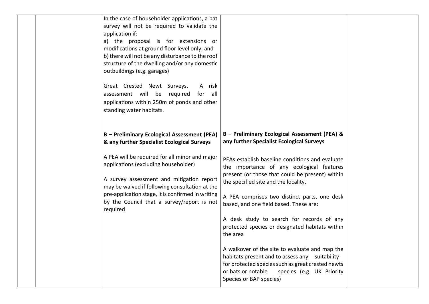|  | In the case of householder applications, a bat<br>survey will not be required to validate the<br>application if:<br>a) the proposal is for extensions or<br>modifications at ground floor level only; and<br>b) there will not be any disturbance to the roof<br>structure of the dwelling and/or any domestic<br>outbuildings (e.g. garages)<br>Great Crested Newt Surveys.<br>A risk<br>assessment will be required<br>for<br>all<br>applications within 250m of ponds and other<br>standing water habitats. |                                                                                                                                                                                                                                                                                                                                                                                                                                                                                                                                                                                                                                                                                                                                    |  |
|--|----------------------------------------------------------------------------------------------------------------------------------------------------------------------------------------------------------------------------------------------------------------------------------------------------------------------------------------------------------------------------------------------------------------------------------------------------------------------------------------------------------------|------------------------------------------------------------------------------------------------------------------------------------------------------------------------------------------------------------------------------------------------------------------------------------------------------------------------------------------------------------------------------------------------------------------------------------------------------------------------------------------------------------------------------------------------------------------------------------------------------------------------------------------------------------------------------------------------------------------------------------|--|
|  | B - Preliminary Ecological Assessment (PEA)<br>& any further Specialist Ecological Surveys<br>A PEA will be required for all minor and major<br>applications (excluding householder)<br>A survey assessment and mitigation report<br>may be waived if following consultation at the<br>pre-application stage, it is confirmed in writing<br>by the Council that a survey/report is not<br>required                                                                                                             | B - Preliminary Ecological Assessment (PEA) &<br>any further Specialist Ecological Surveys<br>PEAs establish baseline conditions and evaluate<br>the importance of any ecological features<br>present (or those that could be present) within<br>the specified site and the locality.<br>A PEA comprises two distinct parts, one desk<br>based, and one field based. These are:<br>A desk study to search for records of any<br>protected species or designated habitats within<br>the area<br>A walkover of the site to evaluate and map the<br>habitats present and to assess any suitability<br>for protected species such as great crested newts<br>or bats or notable<br>species (e.g. UK Priority<br>Species or BAP species) |  |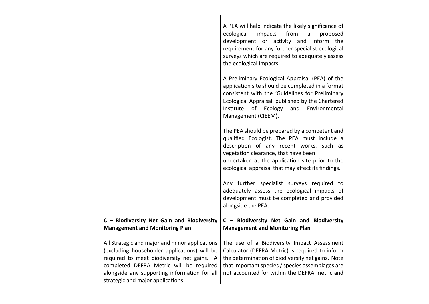|                                                                                                                                                                                                                            | A PEA will help indicate the likely significance of<br>ecological<br>impacts from a<br>proposed<br>development or activity and inform the<br>requirement for any further specialist ecological<br>surveys which are required to adequately assess<br>the ecological impacts.<br>A Preliminary Ecological Appraisal (PEA) of the<br>application site should be completed in a format<br>consistent with the 'Guidelines for Preliminary<br>Ecological Appraisal' published by the Chartered<br>Institute of Ecology and Environmental |  |
|----------------------------------------------------------------------------------------------------------------------------------------------------------------------------------------------------------------------------|--------------------------------------------------------------------------------------------------------------------------------------------------------------------------------------------------------------------------------------------------------------------------------------------------------------------------------------------------------------------------------------------------------------------------------------------------------------------------------------------------------------------------------------|--|
|                                                                                                                                                                                                                            | Management (CIEEM).<br>The PEA should be prepared by a competent and<br>qualified Ecologist. The PEA must include a<br>description of any recent works, such as<br>vegetation clearance, that have been<br>undertaken at the application site prior to the<br>ecological appraisal that may affect its findings.<br>Any further specialist surveys required to<br>adequately assess the ecological impacts of<br>development must be completed and provided<br>alongside the PEA.                                                    |  |
| C - Biodiversity Net Gain and Biodiversity<br><b>Management and Monitoring Plan</b>                                                                                                                                        | C - Biodiversity Net Gain and Biodiversity<br><b>Management and Monitoring Plan</b>                                                                                                                                                                                                                                                                                                                                                                                                                                                  |  |
| (excluding householder applications) will be<br>required to meet biodiversity net gains. A<br>completed DEFRA Metric will be required<br>alongside any supporting information for all<br>strategic and major applications. | All Strategic and major and minor applications   The use of a Biodiversity Impact Assessment<br>Calculator (DEFRA Metric) is required to inform<br>the determination of biodiversity net gains. Note<br>that important species / species assemblages are<br>not accounted for within the DEFRA metric and                                                                                                                                                                                                                            |  |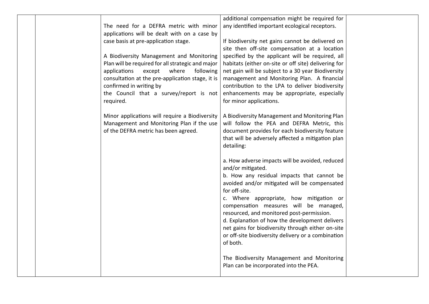| The need for a DEFRA metric with minor<br>applications will be dealt with on a case by<br>case basis at pre-application stage.                                                                                                                                                       | additional compensation might be required for<br>any identified important ecological receptors.<br>If biodiversity net gains cannot be delivered on                                                                                                                                                                                                                                                                                                                                |  |
|--------------------------------------------------------------------------------------------------------------------------------------------------------------------------------------------------------------------------------------------------------------------------------------|------------------------------------------------------------------------------------------------------------------------------------------------------------------------------------------------------------------------------------------------------------------------------------------------------------------------------------------------------------------------------------------------------------------------------------------------------------------------------------|--|
| A Biodiversity Management and Monitoring<br>Plan will be required for all strategic and major<br>applications<br>except<br>where<br>following<br>consultation at the pre-application stage, it is<br>confirmed in writing by<br>the Council that a survey/report is not<br>required. | site then off-site compensation at a location<br>specified by the applicant will be required, all<br>habitats (either on-site or off site) delivering for<br>net gain will be subject to a 30 year Biodiversity<br>management and Monitoring Plan. A financial<br>contribution to the LPA to deliver biodiversity<br>enhancements may be appropriate, especially<br>for minor applications.                                                                                        |  |
| Minor applications will require a Biodiversity<br>Management and Monitoring Plan if the use<br>of the DEFRA metric has been agreed.                                                                                                                                                  | A Biodiversity Management and Monitoring Plan<br>will follow the PEA and DEFRA Metric, this<br>document provides for each biodiversity feature<br>that will be adversely affected a mitigation plan<br>detailing:                                                                                                                                                                                                                                                                  |  |
|                                                                                                                                                                                                                                                                                      | a. How adverse impacts will be avoided, reduced<br>and/or mitigated.<br>b. How any residual impacts that cannot be<br>avoided and/or mitigated will be compensated<br>for off-site.<br>c. Where appropriate, how mitigation or<br>compensation measures will be managed,<br>resourced, and monitored post-permission.<br>d. Explanation of how the development delivers<br>net gains for biodiversity through either on-site<br>or off-site biodiversity delivery or a combination |  |
|                                                                                                                                                                                                                                                                                      | of both.<br>The Biodiversity Management and Monitoring<br>Plan can be incorporated into the PEA.                                                                                                                                                                                                                                                                                                                                                                                   |  |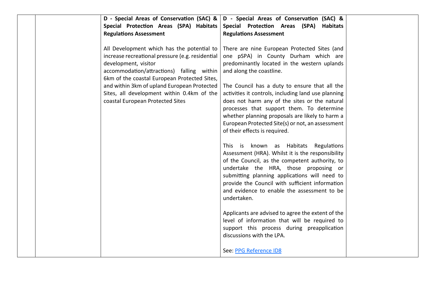| D - Special Areas of Conservation (SAC) &<br>Special Protection Areas (SPA) Habitats<br><b>Regulations Assessment</b>                                                                                               | D - Special Areas of Conservation (SAC) &<br>Special Protection Areas (SPA)<br>Habitats<br><b>Regulations Assessment</b>                                                                                                                                                                                                                                |  |
|---------------------------------------------------------------------------------------------------------------------------------------------------------------------------------------------------------------------|---------------------------------------------------------------------------------------------------------------------------------------------------------------------------------------------------------------------------------------------------------------------------------------------------------------------------------------------------------|--|
| All Development which has the potential to<br>increase recreational pressure (e.g. residential<br>development, visitor<br>accommodation/attractions) falling within<br>6km of the coastal European Protected Sites, | There are nine European Protected Sites (and<br>one pSPA) in County Durham which are<br>predominantly located in the western uplands<br>and along the coastline.                                                                                                                                                                                        |  |
| and within 3km of upland European Protected<br>Sites, all development within 0.4km of the<br>coastal European Protected Sites                                                                                       | The Council has a duty to ensure that all the<br>activities it controls, including land use planning<br>does not harm any of the sites or the natural<br>processes that support them. To determine<br>whether planning proposals are likely to harm a<br>European Protected Site(s) or not, an assessment<br>of their effects is required.              |  |
|                                                                                                                                                                                                                     | This is known as Habitats Regulations<br>Assessment (HRA). Whilst it is the responsibility<br>of the Council, as the competent authority, to<br>undertake the HRA, those proposing or<br>submitting planning applications will need to<br>provide the Council with sufficient information<br>and evidence to enable the assessment to be<br>undertaken. |  |
|                                                                                                                                                                                                                     | Applicants are advised to agree the extent of the<br>level of information that will be required to<br>support this process during preapplication<br>discussions with the LPA.<br>See: PPG Reference ID8                                                                                                                                                 |  |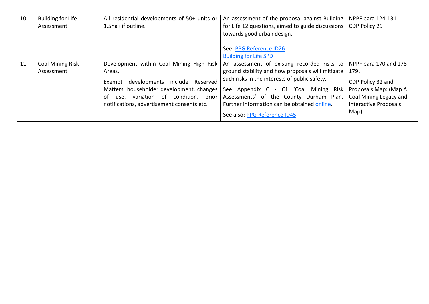<span id="page-14-1"></span><span id="page-14-0"></span>

| 10 | <b>Building for Life</b> | All residential developments of 50+ units or | An assessment of the proposal against Building    | NPPF para 124-131      |
|----|--------------------------|----------------------------------------------|---------------------------------------------------|------------------------|
|    | Assessment               | 1.5ha+ if outline.                           | for Life 12 questions, aimed to guide discussions | CDP Policy 29          |
|    |                          |                                              | towards good urban design.                        |                        |
|    |                          |                                              |                                                   |                        |
|    |                          |                                              | See: PPG Reference ID26                           |                        |
|    |                          |                                              | <b>Building for Life SPD</b>                      |                        |
| 11 | <b>Coal Mining Risk</b>  | Development within Coal Mining High Risk     | An assessment of existing recorded risks to       | NPPF para 170 and 178- |
|    | Assessment               | Areas.                                       | ground stability and how proposals will mitigate  | 179.                   |
|    |                          | developments include Reserved<br>Exempt      | such risks in the interests of public safety.     | CDP Policy 32 and      |
|    |                          | Matters, householder development, changes    | See Appendix C - C1 'Coal Mining Risk             | Proposals Map: (Map A  |
|    |                          | use, variation of condition, prior<br>0f     | Assessments' of the County Durham Plan.           | Coal Mining Legacy and |
|    |                          | notifications, advertisement consents etc.   | Further information can be obtained online.       | interactive Proposals  |
|    |                          |                                              | See also: PPG Reference ID45                      | Map).                  |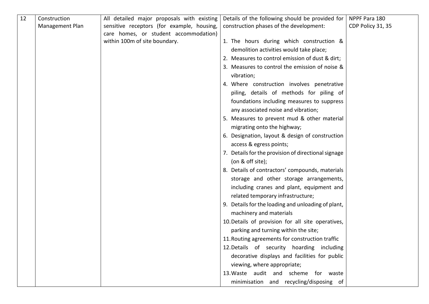<span id="page-15-0"></span>

| 12 | Construction    | All detailed major proposals with existing | Details of the following should be provided for     | NPPF Para 180     |
|----|-----------------|--------------------------------------------|-----------------------------------------------------|-------------------|
|    | Management Plan | sensitive receptors (for example, housing, | construction phases of the development:             | CDP Policy 31, 35 |
|    |                 | care homes, or student accommodation)      |                                                     |                   |
|    |                 | within 100m of site boundary.              | 1. The hours during which construction &            |                   |
|    |                 |                                            | demolition activities would take place;             |                   |
|    |                 |                                            | 2. Measures to control emission of dust & dirt;     |                   |
|    |                 |                                            | 3. Measures to control the emission of noise &      |                   |
|    |                 |                                            | vibration;                                          |                   |
|    |                 |                                            | 4. Where construction involves penetrative          |                   |
|    |                 |                                            | piling, details of methods for piling of            |                   |
|    |                 |                                            | foundations including measures to suppress          |                   |
|    |                 |                                            | any associated noise and vibration;                 |                   |
|    |                 |                                            | 5. Measures to prevent mud & other material         |                   |
|    |                 |                                            | migrating onto the highway;                         |                   |
|    |                 |                                            | 6. Designation, layout & design of construction     |                   |
|    |                 |                                            | access & egress points;                             |                   |
|    |                 |                                            | 7. Details for the provision of directional signage |                   |
|    |                 |                                            | (on $&$ off site);                                  |                   |
|    |                 |                                            | 8. Details of contractors' compounds, materials     |                   |
|    |                 |                                            | storage and other storage arrangements,             |                   |
|    |                 |                                            | including cranes and plant, equipment and           |                   |
|    |                 |                                            | related temporary infrastructure;                   |                   |
|    |                 |                                            | 9. Details for the loading and unloading of plant,  |                   |
|    |                 |                                            | machinery and materials                             |                   |
|    |                 |                                            | 10. Details of provision for all site operatives,   |                   |
|    |                 |                                            | parking and turning within the site;                |                   |
|    |                 |                                            | 11. Routing agreements for construction traffic     |                   |
|    |                 |                                            | 12. Details of security hoarding including          |                   |
|    |                 |                                            | decorative displays and facilities for public       |                   |
|    |                 |                                            | viewing, where appropriate;                         |                   |
|    |                 |                                            | 13. Waste audit and scheme for waste                |                   |
|    |                 |                                            | minimisation and recycling/disposing of             |                   |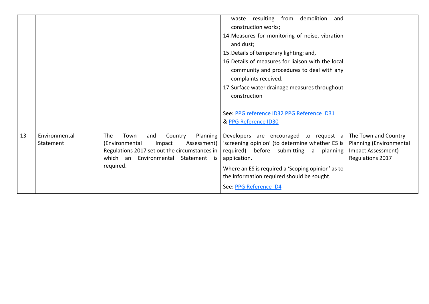<span id="page-16-0"></span>

|    |                            |                                                                                                                                                                                                     | resulting from<br>demolition<br>and<br>waste<br>construction works;<br>14. Measures for monitoring of noise, vibration<br>and dust;<br>15. Details of temporary lighting; and,<br>16. Details of measures for liaison with the local<br>community and procedures to deal with any<br>complaints received.<br>17. Surface water drainage measures throughout<br>construction |                                                                   |
|----|----------------------------|-----------------------------------------------------------------------------------------------------------------------------------------------------------------------------------------------------|-----------------------------------------------------------------------------------------------------------------------------------------------------------------------------------------------------------------------------------------------------------------------------------------------------------------------------------------------------------------------------|-------------------------------------------------------------------|
|    |                            |                                                                                                                                                                                                     | See: PPG reference ID32 PPG Reference ID31<br>& PPG Reference ID30                                                                                                                                                                                                                                                                                                          |                                                                   |
| 13 | Environmental<br>Statement | The<br>Town<br>Planning<br>and<br>Country<br>(Environmental<br>Impact<br>Assessment)  <br>Regulations 2017 set out the circumstances in  <br>which an<br>Environmental<br>Statement is<br>required. | Developers are encouraged to request a $\vert$ The Town and Country<br>'screening opinion' (to determine whether ES is<br>required) before submitting a<br>planning<br>application.<br>Where an ES is required a 'Scoping opinion' as to<br>the information required should be sought.<br>See: PPG Reference ID4                                                            | Planning (Environmental<br>Impact Assessment)<br>Regulations 2017 |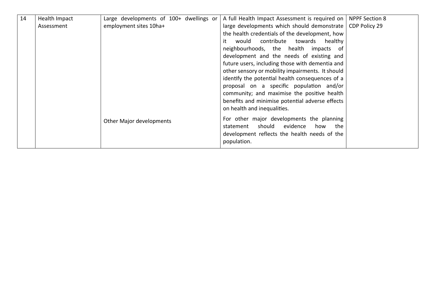<span id="page-17-0"></span>

| 14 | Health Impact | Large developments of 100+ dwellings or | A full Health Impact Assessment is required on   NPPF Section 8 |               |
|----|---------------|-----------------------------------------|-----------------------------------------------------------------|---------------|
|    | Assessment    | employment sites 10ha+                  | large developments which should demonstrate                     | CDP Policy 29 |
|    |               |                                         | the health credentials of the development, how                  |               |
|    |               |                                         | would contribute<br>towards<br>healthy                          |               |
|    |               |                                         | neighbourhoods, the health impacts of                           |               |
|    |               |                                         | development and the needs of existing and                       |               |
|    |               |                                         | future users, including those with dementia and                 |               |
|    |               |                                         | other sensory or mobility impairments. It should                |               |
|    |               |                                         | identify the potential health consequences of a                 |               |
|    |               |                                         | proposal on a specific population and/or                        |               |
|    |               |                                         | community; and maximise the positive health                     |               |
|    |               |                                         | benefits and minimise potential adverse effects                 |               |
|    |               |                                         | on health and inequalities.                                     |               |
|    |               |                                         | For other major developments the planning                       |               |
|    |               | Other Major developments                | should<br>evidence<br>how<br>statement<br>the                   |               |
|    |               |                                         | development reflects the health needs of the                    |               |
|    |               |                                         | population.                                                     |               |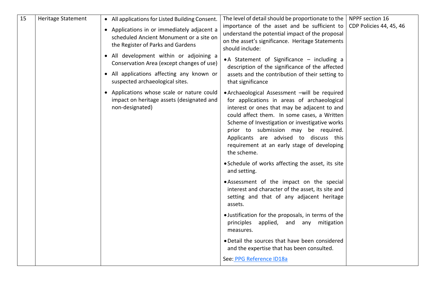<span id="page-18-0"></span>

| 15 | Heritage Statement | • All applications for Listed Building Consent.<br>• Applications in or immediately adjacent a<br>scheduled Ancient Monument or a site on<br>the Register of Parks and Gardens | The level of detail should be proportionate to the<br>importance of the asset and be sufficient to<br>understand the potential impact of the proposal<br>on the asset's significance. Heritage Statements<br>should include:                                                                                                                                                                  | NPPF section 16<br>CDP Policies 44, 45, 46 |
|----|--------------------|--------------------------------------------------------------------------------------------------------------------------------------------------------------------------------|-----------------------------------------------------------------------------------------------------------------------------------------------------------------------------------------------------------------------------------------------------------------------------------------------------------------------------------------------------------------------------------------------|--------------------------------------------|
|    |                    | • All development within or adjoining a<br>Conservation Area (except changes of use)<br>• All applications affecting any known or<br>suspected archaeological sites.           | • A Statement of Significance - including a<br>description of the significance of the affected<br>assets and the contribution of their setting to<br>that significance                                                                                                                                                                                                                        |                                            |
|    |                    | • Applications whose scale or nature could<br>impact on heritage assets (designated and<br>non-designated)                                                                     | • Archaeological Assessment -will be required<br>for applications in areas of archaeological<br>interest or ones that may be adjacent to and<br>could affect them. In some cases, a Written<br>Scheme of Investigation or investigative works<br>prior to submission may be required.<br>Applicants are advised to discuss this<br>requirement at an early stage of developing<br>the scheme. |                                            |
|    |                    |                                                                                                                                                                                | • Schedule of works affecting the asset, its site<br>and setting.                                                                                                                                                                                                                                                                                                                             |                                            |
|    |                    |                                                                                                                                                                                | • Assessment of the impact on the special<br>interest and character of the asset, its site and<br>setting and that of any adjacent heritage<br>assets.                                                                                                                                                                                                                                        |                                            |
|    |                    |                                                                                                                                                                                | . Justification for the proposals, in terms of the<br>principles applied, and any mitigation<br>measures.                                                                                                                                                                                                                                                                                     |                                            |
|    |                    |                                                                                                                                                                                | . Detail the sources that have been considered<br>and the expertise that has been consulted.                                                                                                                                                                                                                                                                                                  |                                            |
|    |                    |                                                                                                                                                                                | See: PPG Reference ID18a                                                                                                                                                                                                                                                                                                                                                                      |                                            |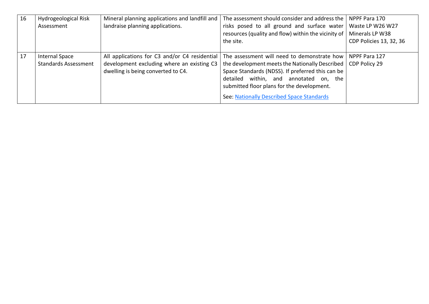<span id="page-19-1"></span><span id="page-19-0"></span>

| 16 | Hydrogeological Risk        | Mineral planning applications and landfill and | The assessment should consider and address the                        | NPPF Para 170                  |
|----|-----------------------------|------------------------------------------------|-----------------------------------------------------------------------|--------------------------------|
|    | Assessment                  | landraise planning applications.               | risks posed to all ground and surface water                           | Waste LP W26 W27               |
|    |                             |                                                | resources (quality and flow) within the vicinity of   Minerals LP W38 |                                |
|    |                             |                                                | the site.                                                             | <b>CDP Policies 13, 32, 36</b> |
|    |                             |                                                |                                                                       |                                |
| 17 | <b>Internal Space</b>       | All applications for C3 and/or C4 residential  | The assessment will need to demonstrate how                           | l NPPF Para 127                |
|    | <b>Standards Assessment</b> | development excluding where an existing C3     | the development meets the Nationally Described                        | CDP Policy 29                  |
|    |                             | dwelling is being converted to C4.             | Space Standards (NDSS). If preferred this can be                      |                                |
|    |                             |                                                | detailed within, and annotated on, the                                |                                |
|    |                             |                                                | submitted floor plans for the development.                            |                                |
|    |                             |                                                | See: Nationally Described Space Standards                             |                                |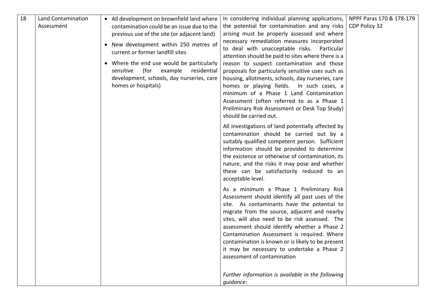<span id="page-20-0"></span>

| 18 | Land Contamination<br>Assessment | • All development on brownfield land where<br>contamination could be an issue due to the<br>previous use of the site (or adjacent land)<br>• New development within 250 metres of<br>current or former landfill sites<br>• Where the end use would be particularly<br>sensitive<br>(for<br>example<br>residential<br>development, schools, day nurseries, care<br>homes or hospitals) | In considering individual planning applications,<br>the potential for contamination and any risks<br>arising must be properly assessed and where<br>necessary remediation measures incorporated<br>to deal with unacceptable risks. Particular<br>attention should be paid to sites where there is a<br>reason to suspect contamination and those<br>proposals for particularly sensitive uses such as<br>housing, allotments, schools, day nurseries, care<br>homes or playing fields. In such cases, a<br>minimum of a Phase 1 Land Contamination<br>Assessment (often referred to as a Phase 1<br>Preliminary Risk Assessment or Desk Top Study) | NPPF Paras 170 & 178-179<br>CDP Policy 32 |
|----|----------------------------------|---------------------------------------------------------------------------------------------------------------------------------------------------------------------------------------------------------------------------------------------------------------------------------------------------------------------------------------------------------------------------------------|-----------------------------------------------------------------------------------------------------------------------------------------------------------------------------------------------------------------------------------------------------------------------------------------------------------------------------------------------------------------------------------------------------------------------------------------------------------------------------------------------------------------------------------------------------------------------------------------------------------------------------------------------------|-------------------------------------------|
|    |                                  |                                                                                                                                                                                                                                                                                                                                                                                       | should be carried out.<br>All investigations of land potentially affected by<br>contamination should be carried out by a<br>suitably qualified competent person. Sufficient<br>information should be provided to determine<br>the existence or otherwise of contamination, its<br>nature, and the risks it may pose and whether<br>these can be satisfactorily reduced to an<br>acceptable level.                                                                                                                                                                                                                                                   |                                           |
|    |                                  |                                                                                                                                                                                                                                                                                                                                                                                       | As a minimum a Phase 1 Preliminary Risk<br>Assessment should identify all past uses of the<br>site. As contaminants have the potential to<br>migrate from the source, adjacent and nearby<br>sites, will also need to be risk assessed. The<br>assessment should identify whether a Phase 2<br>Contamination Assessment is required. Where<br>contamination is known or is likely to be present<br>it may be necessary to undertake a Phase 2<br>assessment of contamination                                                                                                                                                                        |                                           |
|    |                                  |                                                                                                                                                                                                                                                                                                                                                                                       | Further information is available in the following<br>guidance:                                                                                                                                                                                                                                                                                                                                                                                                                                                                                                                                                                                      |                                           |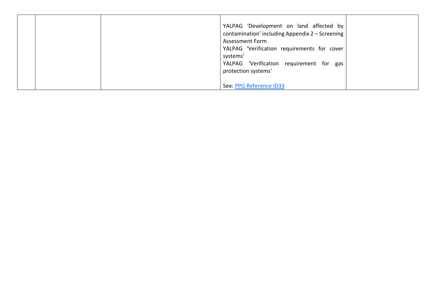|  | YALPAG 'Development on land affected by<br>contamination' including Appendix 2 - Screening<br><b>Assessment Form</b><br>YALPAG 'Verification requirements for cover<br>systems'<br>YALPAG 'Verification requirement for gas<br>protection systems' |  |
|--|----------------------------------------------------------------------------------------------------------------------------------------------------------------------------------------------------------------------------------------------------|--|
|  | See: PPG Reference ID33                                                                                                                                                                                                                            |  |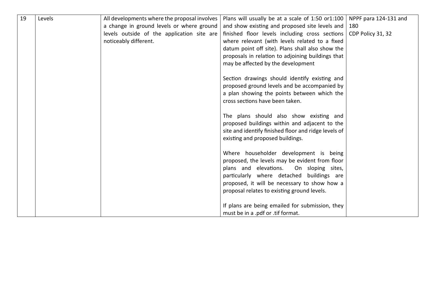<span id="page-22-0"></span>

| 19 | Levels | All developments where the proposal involves | Plans will usually be at a scale of 1:50 or 1:100   NPPF para 124-131 and                                                                                                                                                                                                          |                   |
|----|--------|----------------------------------------------|------------------------------------------------------------------------------------------------------------------------------------------------------------------------------------------------------------------------------------------------------------------------------------|-------------------|
|    |        | a change in ground levels or where ground    | and show existing and proposed site levels and $\vert$ 180                                                                                                                                                                                                                         |                   |
|    |        | levels outside of the application site are   | finished floor levels including cross sections                                                                                                                                                                                                                                     | CDP Policy 31, 32 |
|    |        | noticeably different.                        | where relevant (with levels related to a fixed                                                                                                                                                                                                                                     |                   |
|    |        |                                              | datum point off site). Plans shall also show the                                                                                                                                                                                                                                   |                   |
|    |        |                                              | proposals in relation to adjoining buildings that                                                                                                                                                                                                                                  |                   |
|    |        |                                              | may be affected by the development                                                                                                                                                                                                                                                 |                   |
|    |        |                                              | Section drawings should identify existing and<br>proposed ground levels and be accompanied by<br>a plan showing the points between which the<br>cross sections have been taken.                                                                                                    |                   |
|    |        |                                              | The plans should also show existing and<br>proposed buildings within and adjacent to the<br>site and identify finished floor and ridge levels of<br>existing and proposed buildings.                                                                                               |                   |
|    |        |                                              | Where householder development is being<br>proposed, the levels may be evident from floor<br>plans and elevations.<br>On sloping sites,<br>particularly where detached buildings are<br>proposed, it will be necessary to show how a<br>proposal relates to existing ground levels. |                   |
|    |        |                                              | If plans are being emailed for submission, they<br>must be in a .pdf or .tif format.                                                                                                                                                                                               |                   |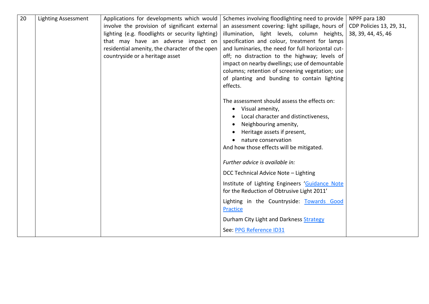<span id="page-23-0"></span>

| 20 | <b>Lighting Assessment</b> | Applications for developments which would<br>involve the provision of significant external<br>lighting (e.g. floodlights or security lighting)<br>that may have an adverse impact on<br>residential amenity, the character of the open<br>countryside or a heritage asset | Schemes involving floodlighting need to provide<br>an assessment covering: light spillage, hours of<br>illumination, light levels, column heights,<br>specification and colour, treatment for lamps<br>and luminaries, the need for full horizontal cut-<br>off; no distraction to the highway; levels of<br>impact on nearby dwellings; use of demountable<br>columns; retention of screening vegetation; use<br>of planting and bunding to contain lighting<br>effects. | NPPF para 180<br>CDP Policies 13, 29, 31,<br>38, 39, 44, 45, 46 |
|----|----------------------------|---------------------------------------------------------------------------------------------------------------------------------------------------------------------------------------------------------------------------------------------------------------------------|---------------------------------------------------------------------------------------------------------------------------------------------------------------------------------------------------------------------------------------------------------------------------------------------------------------------------------------------------------------------------------------------------------------------------------------------------------------------------|-----------------------------------------------------------------|
|    |                            |                                                                                                                                                                                                                                                                           | The assessment should assess the effects on:<br>• Visual amenity,<br>Local character and distinctiveness,<br>Neighbouring amenity,<br>Heritage assets if present,<br>nature conservation<br>And how those effects will be mitigated.                                                                                                                                                                                                                                      |                                                                 |
|    |                            |                                                                                                                                                                                                                                                                           | Further advice is available in:<br>DCC Technical Advice Note - Lighting<br>Institute of Lighting Engineers 'Guidance Note<br>for the Reduction of Obtrusive Light 2011'<br>Lighting in the Countryside: Towards Good<br>Practice<br>Durham City Light and Darkness Strategy<br>See: PPG Reference ID31                                                                                                                                                                    |                                                                 |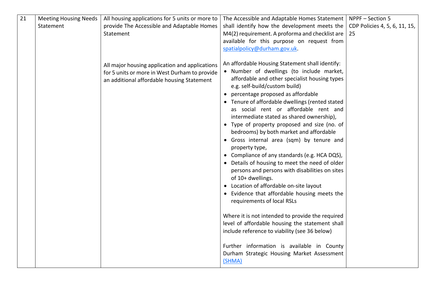<span id="page-24-0"></span>

| 21 | <b>Meeting Housing Needs</b><br>Statement | All housing applications for 5 units or more to<br>provide The Accessible and Adaptable Homes<br>Statement                                    | The Accessible and Adaptable Homes Statement   NPPF $-$ Section 5<br>shall identify how the development meets the<br>M4(2) requirement. A proforma and checklist are<br>available for this purpose on request from<br>spatialpolicy@durham.gov.uk.                                                                                                                                                                                                                                                                                                                                                                                                                                                                                                                                                                                                                                                                                                                                                                                                                                        | CDP Policies 4, 5, 6, 11, 15,<br>25 |
|----|-------------------------------------------|-----------------------------------------------------------------------------------------------------------------------------------------------|-------------------------------------------------------------------------------------------------------------------------------------------------------------------------------------------------------------------------------------------------------------------------------------------------------------------------------------------------------------------------------------------------------------------------------------------------------------------------------------------------------------------------------------------------------------------------------------------------------------------------------------------------------------------------------------------------------------------------------------------------------------------------------------------------------------------------------------------------------------------------------------------------------------------------------------------------------------------------------------------------------------------------------------------------------------------------------------------|-------------------------------------|
|    |                                           | All major housing application and applications<br>for 5 units or more in West Durham to provide<br>an additional affordable housing Statement | An affordable Housing Statement shall identify:<br>• Number of dwellings (to include market,<br>affordable and other specialist housing types<br>e.g. self-build/custom build)<br>• percentage proposed as affordable<br>• Tenure of affordable dwellings (rented stated<br>as social rent or affordable rent and<br>intermediate stated as shared ownership),<br>• Type of property proposed and size (no. of<br>bedrooms) by both market and affordable<br>· Gross internal area (sqm) by tenure and<br>property type,<br>• Compliance of any standards (e.g. HCA DQS),<br>• Details of housing to meet the need of older<br>persons and persons with disabilities on sites<br>of 10+ dwellings.<br>• Location of affordable on-site layout<br>• Evidence that affordable housing meets the<br>requirements of local RSLs<br>Where it is not intended to provide the required<br>level of affordable housing the statement shall<br>include reference to viability (see 36 below)<br>Further information is available in County<br>Durham Strategic Housing Market Assessment<br>(SHMA) |                                     |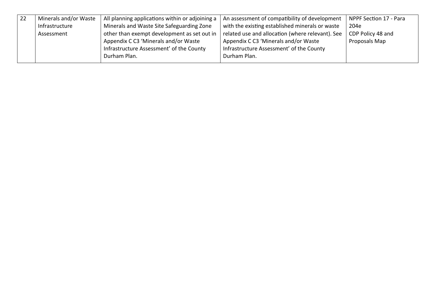<span id="page-25-0"></span>

| Minerals and/or Waste | All planning applications within or adjoining a | An assessment of compatibility of development    | NPPF Section 17 - Para |
|-----------------------|-------------------------------------------------|--------------------------------------------------|------------------------|
| Infrastructure        | Minerals and Waste Site Safeguarding Zone       | with the existing established minerals or waste  | 204e                   |
| Assessment            | other than exempt development as set out in     | related use and allocation (where relevant). See | CDP Policy 48 and      |
|                       | Appendix C C3 'Minerals and/or Waste            | Appendix C C3 'Minerals and/or Waste             | Proposals Map          |
|                       | Infrastructure Assessment' of the County        | Infrastructure Assessment' of the County         |                        |
|                       | Durham Plan.                                    | Durham Plan.                                     |                        |
|                       |                                                 |                                                  |                        |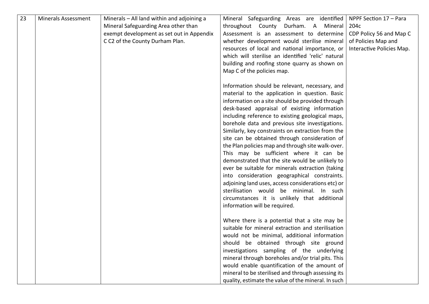<span id="page-26-0"></span>

| 23 | <b>Minerals Assessment</b> | Minerals - All land within and adjoining a<br>Mineral Safeguarding Area other than<br>exempt development as set out in Appendix<br>C C2 of the County Durham Plan. | Mineral Safeguarding Areas are identified<br>throughout County Durham. A<br>Mineral<br>Assessment is an assessment to determine<br>whether development would sterilise mineral<br>resources of local and national importance, or<br>which will sterilise an identified 'relic' natural<br>building and roofing stone quarry as shown on<br>Map C of the policies map.                                                                                                                                                                                                                                                                                                                                                                                                                                                                                     | NPPF Section 17 - Para<br>204c<br>CDP Policy 56 and Map C<br>of Policies Map and<br>Interactive Policies Map. |
|----|----------------------------|--------------------------------------------------------------------------------------------------------------------------------------------------------------------|-----------------------------------------------------------------------------------------------------------------------------------------------------------------------------------------------------------------------------------------------------------------------------------------------------------------------------------------------------------------------------------------------------------------------------------------------------------------------------------------------------------------------------------------------------------------------------------------------------------------------------------------------------------------------------------------------------------------------------------------------------------------------------------------------------------------------------------------------------------|---------------------------------------------------------------------------------------------------------------|
|    |                            |                                                                                                                                                                    | Information should be relevant, necessary, and<br>material to the application in question. Basic<br>information on a site should be provided through<br>desk-based appraisal of existing information<br>including reference to existing geological maps,<br>borehole data and previous site investigations.<br>Similarly, key constraints on extraction from the<br>site can be obtained through consideration of<br>the Plan policies map and through site walk-over.<br>This may be sufficient where it can be<br>demonstrated that the site would be unlikely to<br>ever be suitable for minerals extraction (taking<br>into consideration geographical constraints.<br>adjoining land uses, access considerations etc) or<br>sterilisation would be minimal. In such<br>circumstances it is unlikely that additional<br>information will be required. |                                                                                                               |
|    |                            |                                                                                                                                                                    | Where there is a potential that a site may be<br>suitable for mineral extraction and sterilisation<br>would not be minimal, additional information<br>should be obtained through site ground<br>investigations sampling of the underlying<br>mineral through boreholes and/or trial pits. This<br>would enable quantification of the amount of<br>mineral to be sterilised and through assessing its<br>quality, estimate the value of the mineral. In such                                                                                                                                                                                                                                                                                                                                                                                               |                                                                                                               |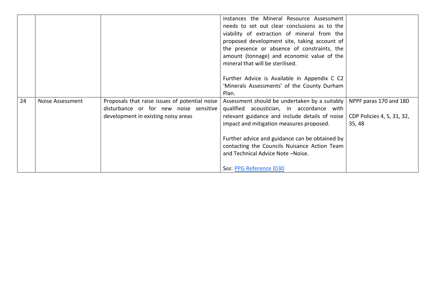<span id="page-27-0"></span>

|    |                  |                                                | instances the Mineral Resource Assessment                                         |                        |
|----|------------------|------------------------------------------------|-----------------------------------------------------------------------------------|------------------------|
|    |                  |                                                | needs to set out clear conclusions as to the                                      |                        |
|    |                  |                                                | viability of extraction of mineral from the                                       |                        |
|    |                  |                                                | proposed development site, taking account of                                      |                        |
|    |                  |                                                | the presence or absence of constraints, the                                       |                        |
|    |                  |                                                | amount (tonnage) and economic value of the                                        |                        |
|    |                  |                                                | mineral that will be sterilised.                                                  |                        |
|    |                  |                                                |                                                                                   |                        |
|    |                  |                                                | Further Advice is Available in Appendix C C2                                      |                        |
|    |                  |                                                | 'Minerals Assessments' of the County Durham                                       |                        |
|    |                  |                                                | Plan.                                                                             |                        |
| 24 | Noise Assessment | Proposals that raise issues of potential noise | Assessment should be undertaken by a suitably                                     | NPPF paras 170 and 180 |
|    |                  | disturbance or for new noise sensitive         | qualified acoustician, in accordance with                                         |                        |
|    |                  | development in existing noisy areas            | relevant guidance and include details of noise $\vert$ CDP Policies 4, 5, 31, 32, |                        |
|    |                  |                                                | impact and mitigation measures proposed.                                          | 35,48                  |
|    |                  |                                                |                                                                                   |                        |
|    |                  |                                                | Further advice and guidance can be obtained by                                    |                        |
|    |                  |                                                | contacting the Councils Nuisance Action Team                                      |                        |
|    |                  |                                                | and Technical Advice Note-Noise.                                                  |                        |
|    |                  |                                                |                                                                                   |                        |
|    |                  |                                                | See: PPG Reference ID30                                                           |                        |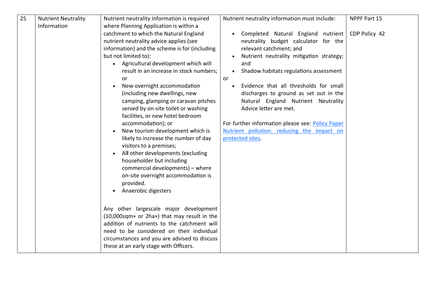<span id="page-28-0"></span>

| 25 | <b>Nutrient Neutrality</b> | Nutrient neutrality information is required      | Nutrient neutrality information must include:             | NPPF Part 15  |
|----|----------------------------|--------------------------------------------------|-----------------------------------------------------------|---------------|
|    | Information                | where Planning Application is within a           |                                                           |               |
|    |                            | catchment to which the Natural England           | Completed Natural England nutrient                        | CDP Policy 42 |
|    |                            | nutrient neutrality advice applies (see          | neutrality budget calculator for the                      |               |
|    |                            | information) and the scheme is for (including    | relevant catchment; and                                   |               |
|    |                            | but not limited to):                             | Nutrient neutrality mitigation strategy;                  |               |
|    |                            | Agricultural development which will<br>$\bullet$ | and                                                       |               |
|    |                            | result in an increase in stock numbers;          | Shadow habitats regulations assessment<br>$\bullet$       |               |
|    |                            | or<br>New overnight accommodation                | or<br>Evidence that all thresholds for small<br>$\bullet$ |               |
|    |                            | (including new dwellings, new                    | discharges to ground as set out in the                    |               |
|    |                            | camping, glamping or caravan pitches             | Natural England Nutrient Neutrality                       |               |
|    |                            | served by on-site toilet or washing              | Advice letter are met.                                    |               |
|    |                            | facilities, or new hotel bedroom                 |                                                           |               |
|    |                            | accommodation); or                               | For further information please see: Policy Paper          |               |
|    |                            | New tourism development which is                 | Nutrient pollution: reducing the impact on                |               |
|    |                            | likely to increase the number of day             | protected sites.                                          |               |
|    |                            | visitors to a premises;                          |                                                           |               |
|    |                            | All other developments (excluding<br>$\bullet$   |                                                           |               |
|    |                            | householder but including                        |                                                           |               |
|    |                            | commercial developments) - where                 |                                                           |               |
|    |                            | on-site overnight accommodation is               |                                                           |               |
|    |                            | provided.                                        |                                                           |               |
|    |                            | Anaerobic digesters                              |                                                           |               |
|    |                            |                                                  |                                                           |               |
|    |                            | Any other largescale major development           |                                                           |               |
|    |                            | (10,000sqm+ or 2ha+) that may result in the      |                                                           |               |
|    |                            | addition of nutrients to the catchment will      |                                                           |               |
|    |                            | need to be considered on their individual        |                                                           |               |
|    |                            | circumstances and you are advised to discuss     |                                                           |               |
|    |                            | these at an early stage with Officers.           |                                                           |               |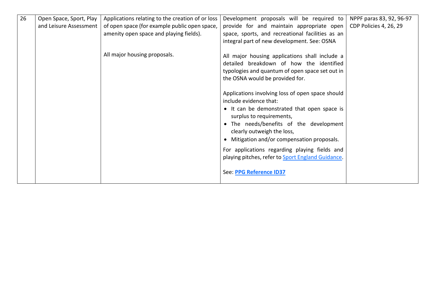<span id="page-29-0"></span>

| 26 | Open Space, Sport, Play<br>and Leisure Assessment | Applications relating to the creation of or loss<br>of open space (for example public open space,<br>amenity open space and playing fields). | Development proposals will be required to<br>provide for and maintain appropriate open<br>space, sports, and recreational facilities as an<br>integral part of new development. See: OSNA                                                                                                                                                                                                                      | NPPF paras 83, 92, 96-97<br>CDP Policies 4, 26, 29 |
|----|---------------------------------------------------|----------------------------------------------------------------------------------------------------------------------------------------------|----------------------------------------------------------------------------------------------------------------------------------------------------------------------------------------------------------------------------------------------------------------------------------------------------------------------------------------------------------------------------------------------------------------|----------------------------------------------------|
|    |                                                   | All major housing proposals.                                                                                                                 | All major housing applications shall include a<br>detailed breakdown of how the identified<br>typologies and quantum of open space set out in<br>the OSNA would be provided for.                                                                                                                                                                                                                               |                                                    |
|    |                                                   |                                                                                                                                              | Applications involving loss of open space should<br>include evidence that:<br>• It can be demonstrated that open space is<br>surplus to requirements,<br>• The needs/benefits of the development<br>clearly outweigh the loss,<br>• Mitigation and/or compensation proposals.<br>For applications regarding playing fields and<br>playing pitches, refer to Sport England Guidance.<br>See: PPG Reference ID37 |                                                    |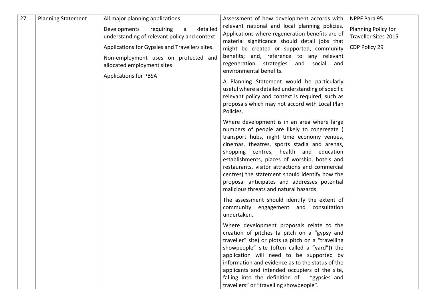<span id="page-30-0"></span>

| 27 | <b>Planning Statement</b> | All major planning applications                                                                                                                                                                                                                    | Assessment of how development accords with                                                                                                                                                                                                                                                                                                                                                                                                                                          | NPPF Para 95                                                 |
|----|---------------------------|----------------------------------------------------------------------------------------------------------------------------------------------------------------------------------------------------------------------------------------------------|-------------------------------------------------------------------------------------------------------------------------------------------------------------------------------------------------------------------------------------------------------------------------------------------------------------------------------------------------------------------------------------------------------------------------------------------------------------------------------------|--------------------------------------------------------------|
|    |                           | Developments<br>detailed<br>requiring<br>a<br>understanding of relevant policy and context<br>Applications for Gypsies and Travellers sites.<br>Non-employment uses on protected and<br>allocated employment sites<br><b>Applications for PBSA</b> | relevant national and local planning policies.<br>Applications where regeneration benefits are of<br>material significance should detail jobs that<br>might be created or supported, community<br>benefits; and, reference to any relevant<br>regeneration strategies<br>and<br>social<br>and<br>environmental benefits.<br>A Planning Statement would be particularly<br>useful where a detailed understanding of specific                                                         | Planning Policy for<br>Traveller Sites 2015<br>CDP Policy 29 |
|    |                           |                                                                                                                                                                                                                                                    | relevant policy and context is required, such as<br>proposals which may not accord with Local Plan<br>Policies.                                                                                                                                                                                                                                                                                                                                                                     |                                                              |
|    |                           |                                                                                                                                                                                                                                                    | Where development is in an area where large<br>numbers of people are likely to congregate (<br>transport hubs, night time economy venues,<br>cinemas, theatres, sports stadia and arenas,<br>shopping centres, health and education<br>establishments, places of worship, hotels and<br>restaurants, visitor attractions and commercial<br>centres) the statement should identify how the<br>proposal anticipates and addresses potential<br>malicious threats and natural hazards. |                                                              |
|    |                           |                                                                                                                                                                                                                                                    | The assessment should identify the extent of<br>community engagement and consultation<br>undertaken.                                                                                                                                                                                                                                                                                                                                                                                |                                                              |
|    |                           |                                                                                                                                                                                                                                                    | Where development proposals relate to the<br>creation of pitches (a pitch on a "gypsy and<br>traveller" site) or plots (a pitch on a "travelling<br>showpeople" site (often called a "yard")) the<br>application will need to be supported by<br>information and evidence as to the status of the<br>applicants and intended occupiers of the site,                                                                                                                                 |                                                              |
|    |                           |                                                                                                                                                                                                                                                    | falling into the definition of "gypsies and<br>travellers" or "travelling showpeople".                                                                                                                                                                                                                                                                                                                                                                                              |                                                              |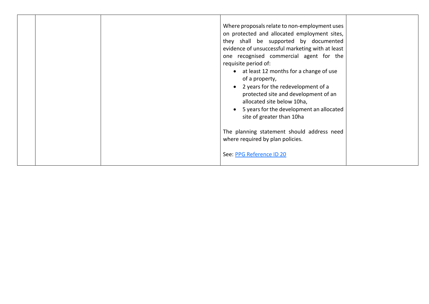| Where proposals relate to non-employment uses<br>on protected and allocated employment sites,<br>they shall be supported by documented<br>evidence of unsuccessful marketing with at least<br>one recognised commercial agent for the<br>requisite period of:<br>• at least 12 months for a change of use<br>of a property,<br>2 years for the redevelopment of a<br>$\bullet$<br>protected site and development of an<br>allocated site below 10ha,<br>5 years for the development an allocated<br>site of greater than 10ha<br>The planning statement should address need<br>where required by plan policies.<br>See: PPG Reference ID 20 |
|---------------------------------------------------------------------------------------------------------------------------------------------------------------------------------------------------------------------------------------------------------------------------------------------------------------------------------------------------------------------------------------------------------------------------------------------------------------------------------------------------------------------------------------------------------------------------------------------------------------------------------------------|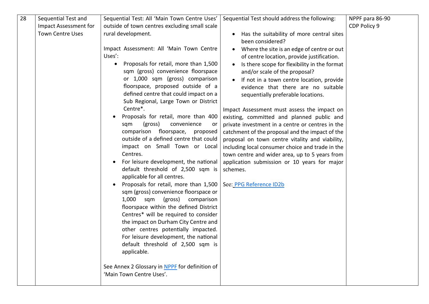<span id="page-32-0"></span>

| 28 | Sequential Test and     | Sequential Test: All 'Main Town Centre Uses'       | Sequential Test should address the following:    | NPPF para 86-90 |
|----|-------------------------|----------------------------------------------------|--------------------------------------------------|-----------------|
|    | Impact Assessment for   | outside of town centres excluding small scale      |                                                  | CDP Policy 9    |
|    | <b>Town Centre Uses</b> | rural development.                                 |                                                  |                 |
|    |                         |                                                    | Has the suitability of more central sites        |                 |
|    |                         |                                                    | been considered?                                 |                 |
|    |                         | Impact Assessment: All 'Main Town Centre           | Where the site is an edge of centre or out       |                 |
|    |                         | Uses':                                             | of centre location, provide justification.       |                 |
|    |                         | Proposals for retail, more than 1,500<br>$\bullet$ | Is there scope for flexibility in the format     |                 |
|    |                         | sqm (gross) convenience floorspace                 | and/or scale of the proposal?                    |                 |
|    |                         | or 1,000 sqm (gross) comparison                    | If not in a town centre location, provide        |                 |
|    |                         | floorspace, proposed outside of a                  | evidence that there are no suitable              |                 |
|    |                         | defined centre that could impact on a              | sequentially preferable locations.               |                 |
|    |                         | Sub Regional, Large Town or District               |                                                  |                 |
|    |                         | Centre*.                                           | Impact Assessment must assess the impact on      |                 |
|    |                         | Proposals for retail, more than 400                | existing, committed and planned public and       |                 |
|    |                         | convenience<br>(gross)<br>sqm<br>or                | private investment in a centre or centres in the |                 |
|    |                         | comparison floorspace,<br>proposed                 | catchment of the proposal and the impact of the  |                 |
|    |                         | outside of a defined centre that could             | proposal on town centre vitality and viability,  |                 |
|    |                         | impact on Small Town or Local                      | including local consumer choice and trade in the |                 |
|    |                         | Centres.                                           | town centre and wider area, up to 5 years from   |                 |
|    |                         | For leisure development, the national              | application submission or 10 years for major     |                 |
|    |                         | default threshold of 2,500 sqm is                  | schemes.                                         |                 |
|    |                         | applicable for all centres.                        |                                                  |                 |
|    |                         | Proposals for retail, more than 1,500              | See: PPG Reference ID2b                          |                 |
|    |                         | sqm (gross) convenience floorspace or              |                                                  |                 |
|    |                         | 1,000 sqm<br>(gross)<br>comparison                 |                                                  |                 |
|    |                         | floorspace within the defined District             |                                                  |                 |
|    |                         | Centres* will be required to consider              |                                                  |                 |
|    |                         | the impact on Durham City Centre and               |                                                  |                 |
|    |                         | other centres potentially impacted.                |                                                  |                 |
|    |                         | For leisure development, the national              |                                                  |                 |
|    |                         | default threshold of 2,500 sqm is                  |                                                  |                 |
|    |                         | applicable.                                        |                                                  |                 |
|    |                         |                                                    |                                                  |                 |
|    |                         | See Annex 2 Glossary in NPPF for definition of     |                                                  |                 |
|    |                         | 'Main Town Centre Uses'.                           |                                                  |                 |
|    |                         |                                                    |                                                  |                 |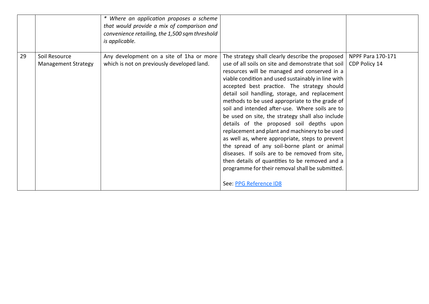<span id="page-33-0"></span>

|    |                                             | * Where an application proposes a scheme<br>that would provide a mix of comparison and<br>convenience retailing, the 1,500 sqm threshold<br>is applicable. |                                                                                                                                                                                                                                                                                                                                                                                                                                                                                                                                                                                                                    |  |
|----|---------------------------------------------|------------------------------------------------------------------------------------------------------------------------------------------------------------|--------------------------------------------------------------------------------------------------------------------------------------------------------------------------------------------------------------------------------------------------------------------------------------------------------------------------------------------------------------------------------------------------------------------------------------------------------------------------------------------------------------------------------------------------------------------------------------------------------------------|--|
| 29 | Soil Resource<br><b>Management Strategy</b> | Any development on a site of 1ha or more<br>which is not on previously developed land.                                                                     | The strategy shall clearly describe the proposed   NPPF Para 170-171<br>use of all soils on site and demonstrate that soil   CDP Policy 14<br>resources will be managed and conserved in a                                                                                                                                                                                                                                                                                                                                                                                                                         |  |
|    |                                             |                                                                                                                                                            | viable condition and used sustainably in line with<br>accepted best practice. The strategy should<br>detail soil handling, storage, and replacement<br>methods to be used appropriate to the grade of<br>soil and intended after-use. Where soils are to<br>be used on site, the strategy shall also include<br>details of the proposed soil depths upon<br>replacement and plant and machinery to be used<br>as well as, where appropriate, steps to prevent<br>the spread of any soil-borne plant or animal<br>diseases. If soils are to be removed from site,<br>then details of quantities to be removed and a |  |
|    |                                             |                                                                                                                                                            | programme for their removal shall be submitted.<br>See: PPG Reference ID8                                                                                                                                                                                                                                                                                                                                                                                                                                                                                                                                          |  |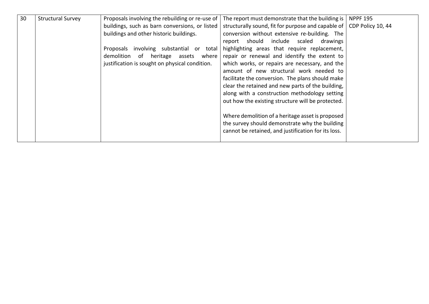<span id="page-34-0"></span>

| 30 | <b>Structural Survey</b> | Proposals involving the rebuilding or re-use of | The report must demonstrate that the building is    | <b>NPPF 195</b>   |
|----|--------------------------|-------------------------------------------------|-----------------------------------------------------|-------------------|
|    |                          | buildings, such as barn conversions, or listed  | structurally sound, fit for purpose and capable of  | CDP Policy 10, 44 |
|    |                          | buildings and other historic buildings.         | conversion without extensive re-building. The       |                   |
|    |                          |                                                 | report should include scaled drawings               |                   |
|    |                          | involving substantial or total<br>Proposals     | highlighting areas that require replacement,        |                   |
|    |                          | demolition of heritage assets where             | repair or renewal and identify the extent to        |                   |
|    |                          | justification is sought on physical condition.  | which works, or repairs are necessary, and the      |                   |
|    |                          |                                                 | amount of new structural work needed to             |                   |
|    |                          |                                                 | facilitate the conversion. The plans should make    |                   |
|    |                          |                                                 | clear the retained and new parts of the building,   |                   |
|    |                          |                                                 | along with a construction methodology setting       |                   |
|    |                          |                                                 | out how the existing structure will be protected.   |                   |
|    |                          |                                                 |                                                     |                   |
|    |                          |                                                 | Where demolition of a heritage asset is proposed    |                   |
|    |                          |                                                 | the survey should demonstrate why the building      |                   |
|    |                          |                                                 | cannot be retained, and justification for its loss. |                   |
|    |                          |                                                 |                                                     |                   |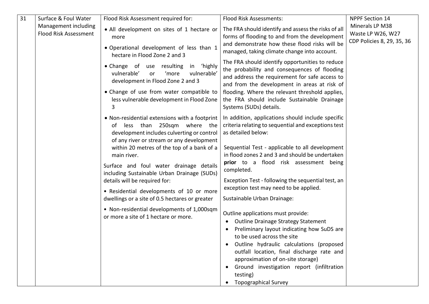<span id="page-35-0"></span>

| 31 | Surface & Foul Water                                 | Flood Risk Assessment required for:                                                                                                                                                                                                                                                                                                                                                                                                                                                                                                                      | Flood Risk Assessments:                                                                                                                                                                                                                                                                                                                                                                                                                                                                                                                                                                                                                                                                                                                                                                                                               | <b>NPPF Section 14</b>                                             |
|----|------------------------------------------------------|----------------------------------------------------------------------------------------------------------------------------------------------------------------------------------------------------------------------------------------------------------------------------------------------------------------------------------------------------------------------------------------------------------------------------------------------------------------------------------------------------------------------------------------------------------|---------------------------------------------------------------------------------------------------------------------------------------------------------------------------------------------------------------------------------------------------------------------------------------------------------------------------------------------------------------------------------------------------------------------------------------------------------------------------------------------------------------------------------------------------------------------------------------------------------------------------------------------------------------------------------------------------------------------------------------------------------------------------------------------------------------------------------------|--------------------------------------------------------------------|
|    | Management including<br><b>Flood Risk Assessment</b> | • All development on sites of 1 hectare or<br>more<br>· Operational development of less than 1<br>hectare in Flood Zone 2 and 3<br>• Change of use resulting in 'highly<br>vulnerable'<br>vulnerable'<br>'more<br>or<br>development in Flood Zone 2 and 3<br>• Change of use from water compatible to<br>less vulnerable development in Flood Zone                                                                                                                                                                                                       | The FRA should identify and assess the risks of all<br>forms of flooding to and from the development<br>and demonstrate how these flood risks will be<br>managed, taking climate change into account.                                                                                                                                                                                                                                                                                                                                                                                                                                                                                                                                                                                                                                 | Minerals LP M38<br>Waste LP W26, W27<br>CDP Policies 8, 29, 35, 36 |
|    |                                                      |                                                                                                                                                                                                                                                                                                                                                                                                                                                                                                                                                          | The FRA should identify opportunities to reduce<br>the probability and consequences of flooding<br>and address the requirement for safe access to<br>and from the development in areas at risk of<br>flooding. Where the relevant threshold applies,<br>the FRA should include Sustainable Drainage<br>Systems (SUDs) details.                                                                                                                                                                                                                                                                                                                                                                                                                                                                                                        |                                                                    |
|    |                                                      | • Non-residential extensions with a footprint<br>less than 250sqm where the<br>of<br>development includes culverting or control<br>of any river or stream or any development<br>within 20 metres of the top of a bank of a<br>main river.<br>Surface and foul water drainage details<br>including Sustainable Urban Drainage (SUDs)<br>details will be required for:<br>• Residential developments of 10 or more<br>dwellings or a site of 0.5 hectares or greater<br>• Non-residential developments of 1,000sqm<br>or more a site of 1 hectare or more. | In addition, applications should include specific<br>criteria relating to sequential and exceptions test<br>as detailed below:<br>Sequential Test - applicable to all development<br>in flood zones 2 and 3 and should be undertaken<br>prior to a flood risk assessment being<br>completed.<br>Exception Test - following the sequential test, an<br>exception test may need to be applied.<br>Sustainable Urban Drainage:<br>Outline applications must provide:<br>Outline Drainage Strategy Statement<br>$\bullet$<br>Preliminary layout indicating how SuDS are<br>to be used across the site<br>Outline hydraulic calculations (proposed<br>outfall location, final discharge rate and<br>approximation of on-site storage)<br>Ground investigation report (infiltration<br>$\bullet$<br>testing)<br><b>Topographical Survey</b> |                                                                    |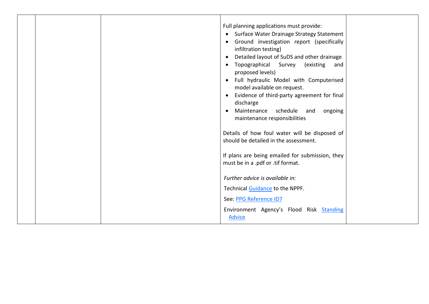|  | Full planning applications must provide:<br>Surface Water Drainage Strategy Statement<br>$\bullet$<br>Ground investigation report (specifically<br>$\bullet$<br>infiltration testing)<br>Detailed layout of SuDS and other drainage<br>$\bullet$<br>Topographical Survey<br>existing)<br>and<br>$\bullet$<br>proposed levels)<br>Full hydraulic Model with Computerised<br>$\bullet$<br>model available on request.<br>Evidence of third-party agreement for final<br>discharge<br>Maintenance schedule and<br>ongoing<br>$\bullet$<br>maintenance responsibilities<br>Details of how foul water will be disposed of<br>should be detailed in the assessment.<br>If plans are being emailed for submission, they<br>must be in a .pdf or .tif format.<br>Further advice is available in: |  |
|--|------------------------------------------------------------------------------------------------------------------------------------------------------------------------------------------------------------------------------------------------------------------------------------------------------------------------------------------------------------------------------------------------------------------------------------------------------------------------------------------------------------------------------------------------------------------------------------------------------------------------------------------------------------------------------------------------------------------------------------------------------------------------------------------|--|
|  | Technical Guidance to the NPPF.                                                                                                                                                                                                                                                                                                                                                                                                                                                                                                                                                                                                                                                                                                                                                          |  |
|  | See: PPG Reference ID7                                                                                                                                                                                                                                                                                                                                                                                                                                                                                                                                                                                                                                                                                                                                                                   |  |
|  | Environment Agency's Flood Risk Standing<br><b>Advice</b>                                                                                                                                                                                                                                                                                                                                                                                                                                                                                                                                                                                                                                                                                                                                |  |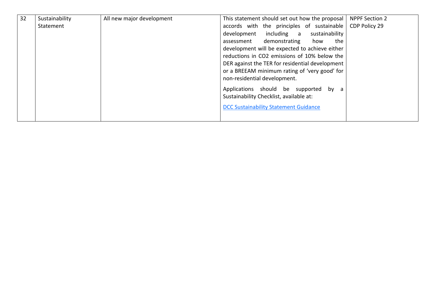<span id="page-37-0"></span>

| 32 | Sustainability | All new major development | This statement should set out how the proposal                                   | <b>NPPF Section 2</b> |
|----|----------------|---------------------------|----------------------------------------------------------------------------------|-----------------------|
|    | Statement      |                           | accords with the principles of sustainable                                       | CDP Policy 29         |
|    |                |                           | including a sustainability<br>development                                        |                       |
|    |                |                           | demonstrating<br>how<br>the<br>assessment                                        |                       |
|    |                |                           | development will be expected to achieve either                                   |                       |
|    |                |                           | reductions in CO2 emissions of 10% below the                                     |                       |
|    |                |                           | DER against the TER for residential development                                  |                       |
|    |                |                           | or a BREEAM minimum rating of 'very good' for                                    |                       |
|    |                |                           | non-residential development.                                                     |                       |
|    |                |                           | Applications should be supported by a<br>Sustainability Checklist, available at: |                       |
|    |                |                           | <b>DCC Sustainability Statement Guidance</b>                                     |                       |
|    |                |                           |                                                                                  |                       |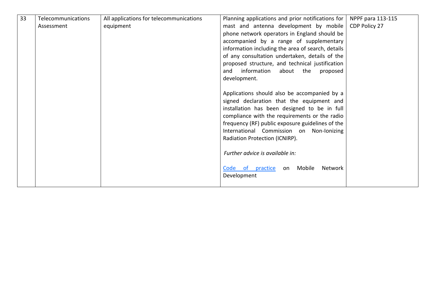<span id="page-38-0"></span>

| 33 | Telecommunications | All applications for telecommunications | Planning applications and prior notifications for | NPPF para 113-115 |
|----|--------------------|-----------------------------------------|---------------------------------------------------|-------------------|
|    | Assessment         | equipment                               | mast and antenna development by mobile            | CDP Policy 27     |
|    |                    |                                         | phone network operators in England should be      |                   |
|    |                    |                                         | accompanied by a range of supplementary           |                   |
|    |                    |                                         | information including the area of search, details |                   |
|    |                    |                                         | of any consultation undertaken, details of the    |                   |
|    |                    |                                         | proposed structure, and technical justification   |                   |
|    |                    |                                         | information<br>about<br>the<br>and<br>proposed    |                   |
|    |                    |                                         | development.                                      |                   |
|    |                    |                                         |                                                   |                   |
|    |                    |                                         | Applications should also be accompanied by a      |                   |
|    |                    |                                         | signed declaration that the equipment and         |                   |
|    |                    |                                         | installation has been designed to be in full      |                   |
|    |                    |                                         | compliance with the requirements or the radio     |                   |
|    |                    |                                         | frequency (RF) public exposure guidelines of the  |                   |
|    |                    |                                         | International Commission on Non-Ionizing          |                   |
|    |                    |                                         | Radiation Protection (ICNIRP).                    |                   |
|    |                    |                                         |                                                   |                   |
|    |                    |                                         | Further advice is available in:                   |                   |
|    |                    |                                         |                                                   |                   |
|    |                    |                                         | Mobile<br>Code of practice<br>Network<br>on       |                   |
|    |                    |                                         | Development                                       |                   |
|    |                    |                                         |                                                   |                   |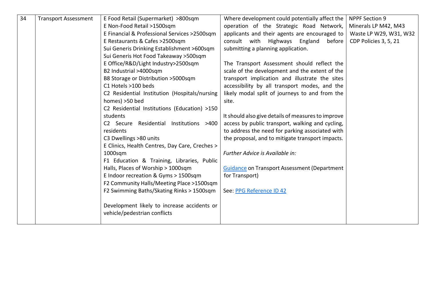<span id="page-39-0"></span>

| 34 | <b>Transport Assessment</b> | E Food Retail (Supermarket) >800sqm            | Where development could potentially affect the      | <b>NPPF Section 9</b>  |
|----|-----------------------------|------------------------------------------------|-----------------------------------------------------|------------------------|
|    |                             | E Non-Food Retail >1500sqm                     | operation of the Strategic Road Network,            | Minerals LP M42, M43   |
|    |                             | E Financial & Professional Services >2500sqm   | applicants and their agents are encouraged to       | Waste LP W29, W31, W32 |
|    |                             | E Restaurants & Cafes >2500sqm                 | consult with Highways England<br>before             | CDP Policies 3, 5, 21  |
|    |                             | Sui Generis Drinking Establishment >600sqm     | submitting a planning application.                  |                        |
|    |                             | Sui Generis Hot Food Takeaway > 500sqm         |                                                     |                        |
|    |                             | E Office/R&D/Light Industry>2500sqm            | The Transport Assessment should reflect the         |                        |
|    |                             | B2 Industrial >4000sqm                         | scale of the development and the extent of the      |                        |
|    |                             | B8 Storage or Distribution >5000sqm            | transport implication and illustrate the sites      |                        |
|    |                             | C1 Hotels >100 beds                            | accessibility by all transport modes, and the       |                        |
|    |                             | C2 Residential Institution (Hospitals/nursing  | likely modal split of journeys to and from the      |                        |
|    |                             | homes) >50 bed                                 | site.                                               |                        |
|    |                             | C2 Residential Institutions (Education) >150   |                                                     |                        |
|    |                             | students                                       | It should also give details of measures to improve  |                        |
|    |                             | C2 Secure Residential Institutions >400        | access by public transport, walking and cycling,    |                        |
|    |                             | residents                                      | to address the need for parking associated with     |                        |
|    |                             | C3 Dwellings >80 units                         | the proposal, and to mitigate transport impacts.    |                        |
|    |                             | E Clinics, Health Centres, Day Care, Creches > |                                                     |                        |
|    |                             | $1000$ sqm                                     | Further Advice is Available in:                     |                        |
|    |                             | F1 Education & Training, Libraries, Public     |                                                     |                        |
|    |                             | Halls, Places of Worship > 1000sqm             | <b>Guidance on Transport Assessment (Department</b> |                        |
|    |                             | E Indoor recreation & Gyms > 1500sqm           | for Transport)                                      |                        |
|    |                             | F2 Community Halls/Meeting Place >1500sqm      |                                                     |                        |
|    |                             | F2 Swimming Baths/Skating Rinks > 1500sqm      | See: PPG Reference ID 42                            |                        |
|    |                             |                                                |                                                     |                        |
|    |                             | Development likely to increase accidents or    |                                                     |                        |
|    |                             | vehicle/pedestrian conflicts                   |                                                     |                        |
|    |                             |                                                |                                                     |                        |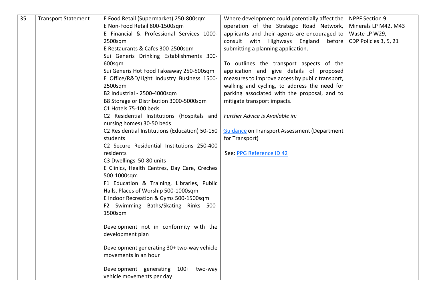<span id="page-40-0"></span>

| 35 | <b>Transport Statement</b> | E Food Retail (Supermarket) 250-800sqm         | Where development could potentially affect the      | <b>NPPF Section 9</b> |
|----|----------------------------|------------------------------------------------|-----------------------------------------------------|-----------------------|
|    |                            | E Non-Food Retail 800-1500sqm                  | operation of the Strategic Road Network,            | Minerals LP M42, M43  |
|    |                            | E Financial & Professional Services 1000-      | applicants and their agents are encouraged to       | Waste LP W29,         |
|    |                            | 2500sqm                                        | consult with Highways England<br>before             | CDP Policies 3, 5, 21 |
|    |                            | E Restaurants & Cafes 300-2500sqm              | submitting a planning application.                  |                       |
|    |                            | Sui Generis Drinking Establishments 300-       |                                                     |                       |
|    |                            | 600sqm                                         | To outlines the transport aspects of the            |                       |
|    |                            | Sui Generis Hot Food Takeaway 250-500sqm       | application and give details of proposed            |                       |
|    |                            | E Office/R&D/Light Industry Business 1500-     | measures to improve access by public transport,     |                       |
|    |                            | 2500sqm                                        | walking and cycling, to address the need for        |                       |
|    |                            | B2 Industrial - 2500-4000sqm                   | parking associated with the proposal, and to        |                       |
|    |                            | B8 Storage or Distribution 3000-5000sqm        | mitigate transport impacts.                         |                       |
|    |                            | C1 Hotels 75-100 beds                          |                                                     |                       |
|    |                            | C2 Residential Institutions (Hospitals and     | Further Advice is Available in:                     |                       |
|    |                            | nursing homes) 30-50 beds                      |                                                     |                       |
|    |                            | C2 Residential Institutions (Education) 50-150 | <b>Guidance on Transport Assessment (Department</b> |                       |
|    |                            | students                                       | for Transport)                                      |                       |
|    |                            | C2 Secure Residential Institutions 250-400     |                                                     |                       |
|    |                            | residents                                      | See: PPG Reference ID 42                            |                       |
|    |                            | C3 Dwellings 50-80 units                       |                                                     |                       |
|    |                            | E Clinics, Health Centres, Day Care, Creches   |                                                     |                       |
|    |                            | 500-1000sqm                                    |                                                     |                       |
|    |                            | F1 Education & Training, Libraries, Public     |                                                     |                       |
|    |                            | Halls, Places of Worship 500-1000sqm           |                                                     |                       |
|    |                            | E Indoor Recreation & Gyms 500-1500sqm         |                                                     |                       |
|    |                            | F2 Swimming Baths/Skating Rinks 500-           |                                                     |                       |
|    |                            | 1500sqm                                        |                                                     |                       |
|    |                            |                                                |                                                     |                       |
|    |                            | Development not in conformity with the         |                                                     |                       |
|    |                            | development plan                               |                                                     |                       |
|    |                            | Development generating 30+ two-way vehicle     |                                                     |                       |
|    |                            | movements in an hour                           |                                                     |                       |
|    |                            |                                                |                                                     |                       |
|    |                            | Development generating 100+ two-way            |                                                     |                       |
|    |                            | vehicle movements per day                      |                                                     |                       |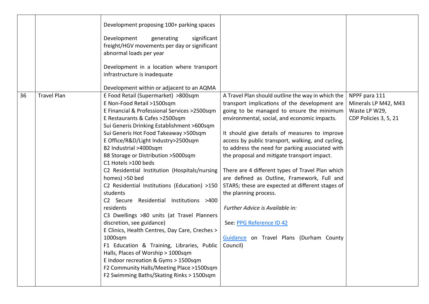<span id="page-41-0"></span>

|    |                    | Development proposing 100+ parking spaces<br>Development<br>significant<br>generating<br>freight/HGV movements per day or significant<br>abnormal loads per year<br>Development in a location where transport<br>infrastructure is inadequate<br>Development within or adjacent to an AQMA                                                                                                                                                                                                                                                                                                                                                                                                                                                                                                                                                                                                                                                    |                                                                                                                                                                                                                                                                                                                                                                                                                                                                                                                                                                                                                                                                                                   |                                                                                 |
|----|--------------------|-----------------------------------------------------------------------------------------------------------------------------------------------------------------------------------------------------------------------------------------------------------------------------------------------------------------------------------------------------------------------------------------------------------------------------------------------------------------------------------------------------------------------------------------------------------------------------------------------------------------------------------------------------------------------------------------------------------------------------------------------------------------------------------------------------------------------------------------------------------------------------------------------------------------------------------------------|---------------------------------------------------------------------------------------------------------------------------------------------------------------------------------------------------------------------------------------------------------------------------------------------------------------------------------------------------------------------------------------------------------------------------------------------------------------------------------------------------------------------------------------------------------------------------------------------------------------------------------------------------------------------------------------------------|---------------------------------------------------------------------------------|
| 36 | <b>Travel Plan</b> | E Food Retail (Supermarket) >800sqm<br>E Non-Food Retail >1500sqm<br>E Financial & Professional Services >2500sqm<br>E Restaurants & Cafes >2500sqm<br>Sui Generis Drinking Establishment >600sqm<br>Sui Generis Hot Food Takeaway > 500sqm<br>E Office/R&D/Light Industry>2500sqm<br>B2 Industrial >4000sqm<br>B8 Storage or Distribution >5000sqm<br>C1 Hotels >100 beds<br>C2 Residential Institution (Hospitals/nursing<br>homes) >50 bed<br>C2 Residential Institutions (Education) >150<br>students<br>C2 Secure Residential Institutions >400<br>residents<br>C3 Dwellings >80 units (at Travel Planners<br>discretion, see guidance)<br>E Clinics, Health Centres, Day Care, Creches ><br>$1000$ sqm<br>F1 Education & Training, Libraries, Public   Council)<br>Halls, Places of Worship > 1000sqm<br>E Indoor recreation & Gyms > 1500sqm<br>F2 Community Halls/Meeting Place >1500sqm<br>F2 Swimming Baths/Skating Rinks > 1500sqm | A Travel Plan should outline the way in which the<br>transport implications of the development are<br>going to be managed to ensure the minimum<br>environmental, social, and economic impacts.<br>It should give details of measures to improve<br>access by public transport, walking, and cycling,<br>to address the need for parking associated with<br>the proposal and mitigate transport impact.<br>There are 4 different types of Travel Plan which<br>are defined as Outline, Framework, Full and<br>STARS; these are expected at different stages of<br>the planning process.<br>Further Advice is Available in:<br>See: PPG Reference ID 42<br>Guidance on Travel Plans (Durham County | NPPF para 111<br>Minerals LP M42, M43<br>Waste LP W29,<br>CDP Policies 3, 5, 21 |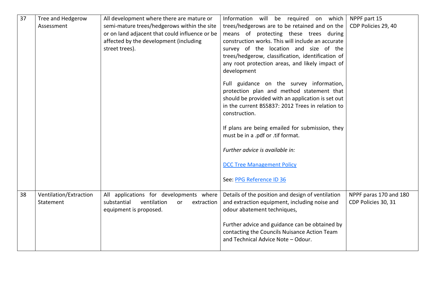<span id="page-42-1"></span><span id="page-42-0"></span>

| 37 | Tree and Hedgerow<br>Assessment     | All development where there are mature or<br>semi-mature trees/hedgerows within the site<br>or on land adjacent that could influence or be<br>affected by the development (including<br>street trees). | Information will be required on which<br>trees/hedgerows are to be retained and on the<br>means of protecting these trees during<br>construction works. This will include an accurate<br>survey of the location and size of the<br>trees/hedgerow, classification, identification of<br>any root protection areas, and likely impact of<br>development | NPPF part 15<br>CDP Policies 29, 40           |
|----|-------------------------------------|--------------------------------------------------------------------------------------------------------------------------------------------------------------------------------------------------------|--------------------------------------------------------------------------------------------------------------------------------------------------------------------------------------------------------------------------------------------------------------------------------------------------------------------------------------------------------|-----------------------------------------------|
|    |                                     |                                                                                                                                                                                                        | Full guidance on the survey information,<br>protection plan and method statement that<br>should be provided with an application is set out<br>in the current BS5837: 2012 Trees in relation to<br>construction.                                                                                                                                        |                                               |
|    |                                     |                                                                                                                                                                                                        | If plans are being emailed for submission, they<br>must be in a .pdf or .tif format.                                                                                                                                                                                                                                                                   |                                               |
|    |                                     |                                                                                                                                                                                                        | Further advice is available in:                                                                                                                                                                                                                                                                                                                        |                                               |
|    |                                     |                                                                                                                                                                                                        | <b>DCC Tree Management Policy</b>                                                                                                                                                                                                                                                                                                                      |                                               |
|    |                                     |                                                                                                                                                                                                        | See: PPG Reference ID 36                                                                                                                                                                                                                                                                                                                               |                                               |
| 38 | Ventilation/Extraction<br>Statement | All applications for developments where<br>substantial<br>ventilation<br>extraction<br><b>or</b><br>equipment is proposed.                                                                             | Details of the position and design of ventilation<br>and extraction equipment, including noise and<br>odour abatement techniques,                                                                                                                                                                                                                      | NPPF paras 170 and 180<br>CDP Policies 30, 31 |
|    |                                     |                                                                                                                                                                                                        | Further advice and guidance can be obtained by<br>contacting the Councils Nuisance Action Team<br>and Technical Advice Note - Odour.                                                                                                                                                                                                                   |                                               |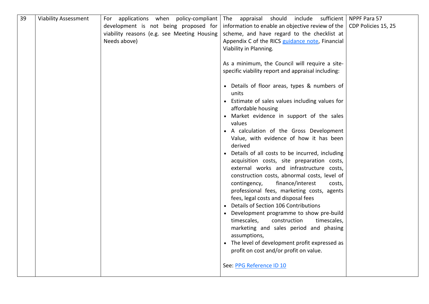<span id="page-43-0"></span>

| 39 | <b>Viability Assessment</b> | For applications when policy-compliant                                               | include<br>The appraisal<br>should                                                                                                                                                                                                                                                                                                                                                                                                                                                                                                                                                                                                                                                                                                                                                                                                                                        | sufficient   NPPF Para 57 |
|----|-----------------------------|--------------------------------------------------------------------------------------|---------------------------------------------------------------------------------------------------------------------------------------------------------------------------------------------------------------------------------------------------------------------------------------------------------------------------------------------------------------------------------------------------------------------------------------------------------------------------------------------------------------------------------------------------------------------------------------------------------------------------------------------------------------------------------------------------------------------------------------------------------------------------------------------------------------------------------------------------------------------------|---------------------------|
|    |                             | development is not being proposed for<br>viability reasons (e.g. see Meeting Housing | information to enable an objective review of the $\vert$ CDP Policies 15, 25<br>scheme, and have regard to the checklist at                                                                                                                                                                                                                                                                                                                                                                                                                                                                                                                                                                                                                                                                                                                                               |                           |
|    |                             | Needs above)                                                                         | Appendix C of the RICS guidance note, Financial                                                                                                                                                                                                                                                                                                                                                                                                                                                                                                                                                                                                                                                                                                                                                                                                                           |                           |
|    |                             |                                                                                      | Viability in Planning.                                                                                                                                                                                                                                                                                                                                                                                                                                                                                                                                                                                                                                                                                                                                                                                                                                                    |                           |
|    |                             |                                                                                      |                                                                                                                                                                                                                                                                                                                                                                                                                                                                                                                                                                                                                                                                                                                                                                                                                                                                           |                           |
|    |                             |                                                                                      | As a minimum, the Council will require a site-                                                                                                                                                                                                                                                                                                                                                                                                                                                                                                                                                                                                                                                                                                                                                                                                                            |                           |
|    |                             |                                                                                      | specific viability report and appraisal including:                                                                                                                                                                                                                                                                                                                                                                                                                                                                                                                                                                                                                                                                                                                                                                                                                        |                           |
|    |                             |                                                                                      | • Details of floor areas, types & numbers of<br>units<br>• Estimate of sales values including values for<br>affordable housing<br>• Market evidence in support of the sales<br>values<br>• A calculation of the Gross Development<br>Value, with evidence of how it has been<br>derived<br>• Details of all costs to be incurred, including<br>acquisition costs, site preparation costs,<br>external works and infrastructure costs,<br>construction costs, abnormal costs, level of<br>finance/interest<br>contingency,<br>costs,<br>professional fees, marketing costs, agents<br>fees, legal costs and disposal fees<br>• Details of Section 106 Contributions<br>• Development programme to show pre-build<br>timescales,<br>construction<br>timescales,<br>marketing and sales period and phasing<br>assumptions,<br>• The level of development profit expressed as |                           |
|    |                             |                                                                                      | profit on cost and/or profit on value.                                                                                                                                                                                                                                                                                                                                                                                                                                                                                                                                                                                                                                                                                                                                                                                                                                    |                           |
|    |                             |                                                                                      |                                                                                                                                                                                                                                                                                                                                                                                                                                                                                                                                                                                                                                                                                                                                                                                                                                                                           |                           |
|    |                             |                                                                                      | See: PPG Reference ID 10                                                                                                                                                                                                                                                                                                                                                                                                                                                                                                                                                                                                                                                                                                                                                                                                                                                  |                           |